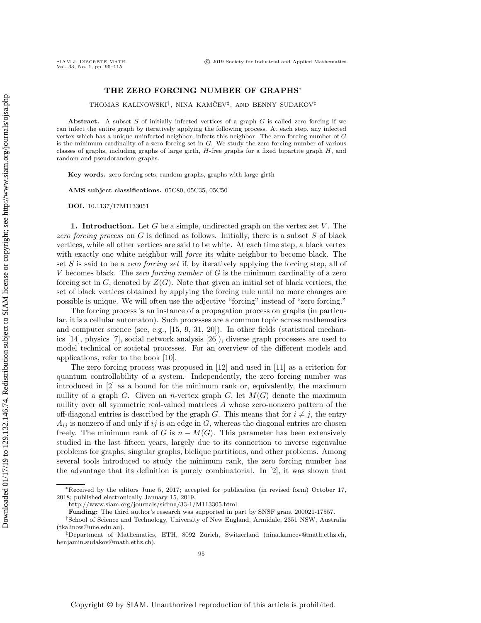## THE ZERO FORCING NUMBER OF GRAPHS\*

THOMAS KALINOWSKI<sup>†</sup>, NINA KAMČEV<sup>‡</sup>, AND BENNY SUDAKOV<sup>‡</sup>

Abstract. A subset  $S$  of initially infected vertices of a graph  $G$  is called zero forcing if we can infect the entire graph by iteratively applying the following process. At each step, any infected vertex which has a unique uninfected neighbor, infects this neighbor. The zero forcing number of G is the minimum cardinality of a zero forcing set in  $G$ . We study the zero forcing number of various classes of graphs, including graphs of large girth,  $H$ -free graphs for a fixed bipartite graph  $H$ , and random and pseudorandom graphs.

Key words. zero forcing sets, random graphs, graphs with large girth

AMS subject classifications. 05C80, 05C35, 05C50

DOI. 10.1137/17M1133051

SIAM J. DISCRETE MATH.<br>Vol. 33, No. 1, pp. 95-115

1. Introduction. Let G be a simple, undirected graph on the vertex set  $V$ . The zero forcing process on  $G$  is defined as follows. Initially, there is a subset  $S$  of black vertices, while all other vertices are said to be white. At each time step, a black vertex with exactly one white neighbor will *force* its white neighbor to become black. The set  $S$  is said to be a *zero forcing set* if, by iteratively applying the forcing step, all of  $V$  becomes black. The *zero forcing number* of  $G$  is the minimum cardinality of a zero forcing set in  $G$ , denoted by  $Z(G)$ . Note that given an initial set of black vertices, the set of black vertices obtained by applying the forcing rule until no more changes are possible is unique. We will often use the adjective "forcing" instead of "zero forcing."

The forcing process is an instance of a propagation process on graphs (in particular, it is a cellular automaton). Such processes are a common topic across mathematics and computer science (see, e.g., [\[15,](#page-19-0) [9,](#page-19-1) [31,](#page-20-0) [20\]](#page-19-2)). In other fields (statistical mechanics [\[14\]](#page-19-3), physics [\[7\]](#page-19-4), social network analysis [\[26\]](#page-19-5)), diverse graph processes are used to model technical or societal processes. For an overview of the different models and applications, refer to the book [\[10\]](#page-19-6).

The zero forcing process was proposed in [\[12\]](#page-19-7) and used in [\[11\]](#page-19-8) as a criterion for quantum controllability of a system. Independently, the zero forcing number was introduced in [\[2\]](#page-19-9) as a bound for the minimum rank or, equivalently, the maximum nullity of a graph G. Given an *n*-vertex graph G, let  $M(G)$  denote the maximum nullity over all symmetric real-valued matrices A whose zero-nonzero pattern of the off-diagonal entries is described by the graph G. This means that for  $i \neq j$ , the entry  $A_{ij}$  is nonzero if and only if ij is an edge in G, whereas the diagonal entries are chosen freely. The minimum rank of G is  $n - M(G)$ . This parameter has been extensively studied in the last fifteen years, largely due to its connection to inverse eigenvalue problems for graphs, singular graphs, biclique partitions, and other problems. Among several tools introduced to study the minimum rank, the zero forcing number has the advantage that its definition is purely combinatorial. In [\[2\]](#page-19-9), it was shown that

<sup>\*</sup>Received by the editors June 5, 2017; accepted for publication (in revised form) October 17, 2018; published electronically January 15, 2019.

<http://www.siam.org/journals/sidma/33-1/M113305.html>

Funding: The third author's research was supported in part by SNSF grant 200021-17557.

<sup>&</sup>lt;sup>†</sup>School of Science and Technology, University of New England, Armidale, 2351 NSW, Australia [\(tkalinow@une.edu.au\)](mailto:tkalinow@une.edu.au).

 $\overline{B}$  Department of Mathematics, ETH, 8092 Zurich, Switzerland [\(nina.kamcev@math.ethz.ch,](mailto:nina.kamcev@math.ethz.ch) [benjamin.sudakov@math.ethz.ch\)](mailto:benjamin.sudakov@math.ethz.ch).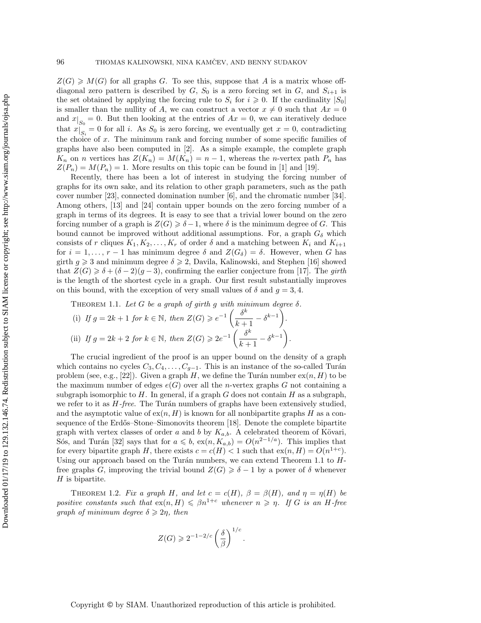$Z(G) \geq M(G)$  for all graphs G. To see this, suppose that A is a matrix whose offdiagonal zero pattern is described by  $G$ ,  $S_0$  is a zero forcing set in  $G$ , and  $S_{i+1}$  is the set obtained by applying the forcing rule to  $S_i$  for  $i \geqslant 0$ . If the cardinality  $|S_0|$ is smaller than the nullity of A, we can construct a vector  $x \neq 0$  such that  $Ax = 0$ and  $x|_{S_0} = 0$ . But then looking at the entries of  $Ax = 0$ , we can iteratively deduce that  $x|_{S_i} = 0$  for all i. As  $S_0$  is zero forcing, we eventually get  $x = 0$ , contradicting the choice of x. The minimum rank and forcing number of some specific families of graphs have also been computed in [\[2\]](#page-19-9). As a simple example, the complete graph  $K_n$  on *n* vertices has  $Z(K_n) = M(K_n) = n - 1$ , whereas the *n*-vertex path  $P_n$  has  $Z(P_n) = M(P_n) = 1$ . More results on this topic can be found in [\[1\]](#page-19-10) and [\[19\]](#page-19-11).

Recently, there has been a lot of interest in studying the forcing number of graphs for its own sake, and its relation to other graph parameters, such as the path cover number [\[23\]](#page-19-12), connected domination number [\[6\]](#page-19-13), and the chromatic number [\[34\]](#page-20-1). Among others, [\[13\]](#page-19-14) and [\[24\]](#page-19-15) contain upper bounds on the zero forcing number of a graph in terms of its degrees. It is easy to see that a trivial lower bound on the zero forcing number of a graph is  $Z(G) \geq \delta - 1$ , where  $\delta$  is the minimum degree of G. This bound cannot be improved without additional assumptions. For, a graph  $G_\delta$  which consists of r cliques  $K_1, K_2, \ldots, K_r$  of order  $\delta$  and a matching between  $K_i$  and  $K_{i+1}$ for  $i = 1, \ldots, r - 1$  has minimum degree  $\delta$  and  $Z(G_\delta ) = \delta$ . However, when G has girth  $g \geqslant 3$  and minimum degree  $\delta \geqslant 2$ , Davila, Kalinowski, and Stephen [\[16\]](#page-19-16) showed that  $Z(G) \geq \delta + (\delta - 2)(g - 3)$ , confirming the earlier conjecture from [\[17\]](#page-19-17). The girth is the length of the shortest cycle in a graph. Our first result substantially improves on this bound, with the exception of very small values of  $\delta$  and  $g = 3, 4$ .

<span id="page-1-0"></span>THEOREM 1.1. Let G be a graph of girth g with minimum degree  $\delta$ .

(i) If 
$$
g = 2k + 1
$$
 for  $k \in \mathbb{N}$ , then  $Z(G) \ge e^{-1} \left( \frac{\delta^k}{k+1} - \delta^{k-1} \right)$ .  
\n(ii) If  $g = 2k + 2$  for  $k \in \mathbb{N}$ , then  $Z(G) \ge 2e^{-1} \left( \frac{\delta^k}{k+1} - \delta^{k-1} \right)$ .

The crucial ingredient of the proof is an upper bound on the density of a graph which contains no cycles  $C_3, C_4, \ldots, C_{q-1}$ . This is an instance of the so-called Turán problem (see, e.g., [\[22\]](#page-19-18)). Given a graph H, we define the Turán number  $ex(n, H)$  to be the maximum number of edges  $e(G)$  over all the *n*-vertex graphs G not containing a subgraph isomorphic to  $H$ . In general, if a graph  $G$  does not contain  $H$  as a subgraph, we refer to it as  $H$ -free. The Turán numbers of graphs have been extensively studied, and the asymptotic value of  $ex(n, H)$  is known for all nonbipartite graphs H as a con-sequence of the Erdős-Stone-Simonovits theorem [\[18\]](#page-19-19). Denote the complete bipartite graph with vertex classes of order a and b by  $K_{a,b}$ . A celebrated theorem of Kövari, Sós, and Turán [\[32\]](#page-20-2) says that for  $a \leq b$ ,  $ex(n, K_{a,b}) = O(n^{2-1/a})$ . This implies that for every bipartite graph H, there exists  $c = c(H) < 1$  such that  $ex(n, H) = O(n^{1+c})$ . Using our approach based on the Turán numbers, we can extend Theorem [1.1](#page-1-0) to  $H$ free graphs G, improving the trivial bound  $Z(G) \geq \delta - 1$  by a power of  $\delta$  whenever  $H$  is bipartite.

<span id="page-1-1"></span>THEOREM 1.2. Fix a graph H, and let  $c = c(H)$ ,  $\beta = \beta (H)$ , and  $\eta = \eta (H)$  be positive constants such that  $ex(n, H) \leq \beta n^{1+c}$  whenever  $n \geq \eta$ . If G is an H-free graph of minimum degree  $\delta \geqslant 2\eta$ , then

$$
Z(G) \geqslant 2^{-1-2/c} \left(\frac{\delta}{\beta}\right)^{1/c}.
$$

Copyright © by SIAM. Unauthorized reproduction of this article is prohibited.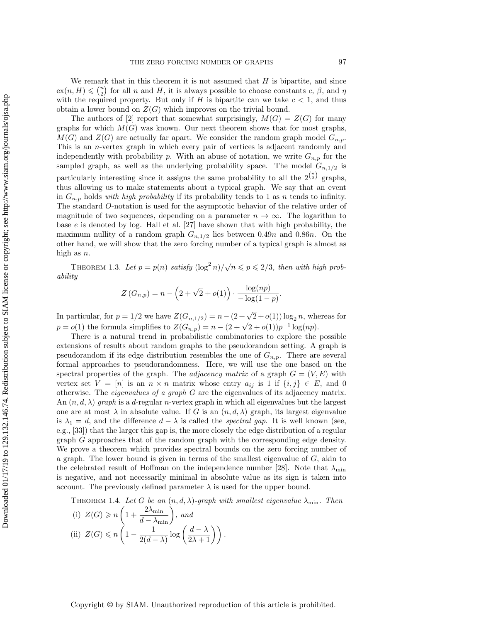We remark that in this theorem it is not assumed that  $H$  is bipartite, and since  $\mathrm{ex}(n, H) \leqslant {\binom{n}{2}}$  for all n and H, it is always possible to choose constants c,  $\beta$ , and  $\eta$ with the required property. But only if H is bipartite can we take  $c < 1$ , and thus obtain a lower bound on  $Z(G)$  which improves on the trivial bound.

The authors of [\[2\]](#page-19-9) report that somewhat surprisingly,  $M(G) = Z(G)$  for many graphs for which  $M(G)$  was known. Our next theorem shows that for most graphs,  $M(G)$  and  $Z(G)$  are actually far apart. We consider the random graph model  $G_{n,p}$ . This is an n-vertex graph in which every pair of vertices is adjacent randomly and independently with probability p. With an abuse of notation, we write  $G_{n,p}$  for the sampled graph, as well as the underlying probability space. The model  $G_{n,1/2}$  is particularly interesting since it assigns the same probability to all the  $2^{n \choose 2}$  graphs, thus allowing us to make statements about a typical graph. We say that an event in  $G_{n,p}$  holds with high probability if its probability tends to 1 as n tends to infinity. The standard O-notation is used for the asymptotic behavior of the relative order of magnitude of two sequences, depending on a parameter  $n \rightarrow \infty$ . The logarithm to base e is denoted by log. Hall et al. [\[27\]](#page-19-20) have shown that with high probability, the maximum nullity of a random graph  $G_{n,1/2}$  lies between 0.49n and 0.86n. On the other hand, we will show that the zero forcing number of a typical graph is almost as high as  $n$ .

<span id="page-2-2"></span>THEOREM 1.3. Let  $p = p(n)$  satisfy  $(\log^2 n)/\sqrt{n} \leqslant p \leqslant 2/3$ , then with high probability

$$
Z(G_{n,p}) = n - \left(2 + \sqrt{2} + o(1)\right) \cdot \frac{\log(np)}{-\log(1-p)}.
$$

In particular, for  $p = 1/2$  we have  $Z(G_{n,1/2}) = n - (2 + \sqrt{2} + o(1)) \log_2 n$ , whereas for in particular, for  $p = 1/2$  we have  $Z(G_{n,1}/2) = n - (2 + \sqrt{2} + o(1)) \log_2 n$ , where  $p = o(1)$  the formula simplifies to  $Z(G_{n,p}) = n - (2 + \sqrt{2} + o(1))p^{-1} \log(np)$ .

There is a natural trend in probabilistic combinatorics to explore the possible extensions of results about random graphs to the pseudorandom setting. A graph is pseudorandom if its edge distribution resembles the one of  $G_{n,p}$ . There are several formal approaches to pseudorandomness. Here, we will use the one based on the spectral properties of the graph. The *adjacency matrix* of a graph  $G = (V, E)$  with vertex set  $V = [n]$  is an  $n \times n$  matrix whose entry  $a_{ij}$  is 1 if  $\{ i, j \} \in E$ , and 0 otherwise. The eigenvalues of a graph G are the eigenvalues of its adjacency matrix. An  $(n, d, \lambda)$  graph is a d-regular n-vertex graph in which all eigenvalues but the largest one are at most  $\lambda$  in absolute value. If G is an  $(n, d, \lambda)$  graph, its largest eigenvalue is  $\lambda_1 = d$ , and the difference  $d - \lambda$  is called the spectral gap. It is well known (see, e.g., [\[33\]](#page-20-3)) that the larger this gap is, the more closely the edge distribution of a regular graph G approaches that of the random graph with the corresponding edge density. We prove a theorem which provides spectral bounds on the zero forcing number of a graph. The lower bound is given in terms of the smallest eigenvalue of G, akin to the celebrated result of Hoffman on the independence number [\[28\]](#page-19-21). Note that  $\lambda_{\min}$ is negative, and not necessarily minimal in absolute value as its sign is taken into account. The previously defined parameter  $\lambda$  is used for the upper bound.

<span id="page-2-3"></span>THEOREM 1.4. Let G be an  $(n, d, \lambda )$ -graph with smallest eigenvalue  $\lambda_{\min}$ . Then

<span id="page-2-1"></span><span id="page-2-0"></span>(i) 
$$
Z(G) \ge n \left( 1 + \frac{2\lambda_{\min}}{d - \lambda_{\min}} \right)
$$
, and  
(ii)  $Z(G) \le n \left( 1 - \frac{1}{2(d - \lambda)} \log \left( \frac{d - \lambda}{2\lambda + 1} \right) \right)$ .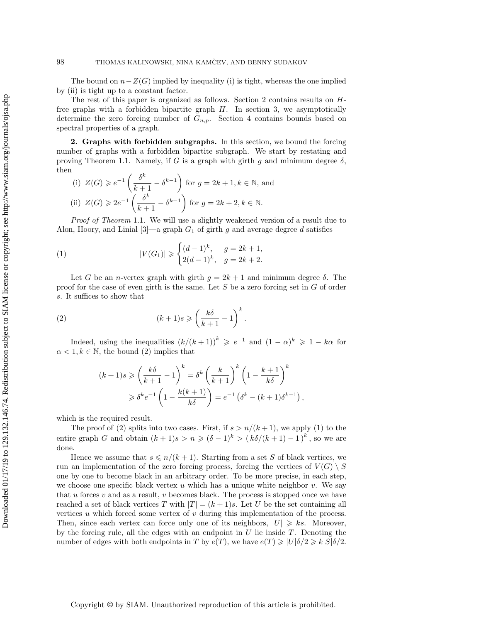The bound on  $n - Z(G)$  implied by inequality [\(i\)](#page-2-0) is tight, whereas the one implied by [\(ii\)](#page-2-1) is tight up to a constant factor.

The rest of this paper is organized as follows. Section [2](#page-3-0) contains results on Hfree graphs with a forbidden bipartite graph  $H$ . In section [3,](#page-5-0) we asymptotically determine the zero forcing number of  $G_{n,p}$ . Section [4](#page-13-0) contains bounds based on spectral properties of a graph.

<span id="page-3-0"></span>2. Graphs with forbidden subgraphs. In this section, we bound the forcing number of graphs with a forbidden bipartite subgraph. We start by restating and proving Theorem [1.1.](#page-1-0) Namely, if G is a graph with girth g and minimum degree  $\delta$ , then

(i) 
$$
Z(G) \ge e^{-1} \left( \frac{\delta^k}{k+1} - \delta^{k-1} \right)
$$
 for  $g = 2k + 1, k \in \mathbb{N}$ , and  
\n(ii)  $Z(G) \ge 2e^{-1} \left( \frac{\delta^k}{k+1} - \delta^{k-1} \right)$  for  $g = 2k + 2, k \in \mathbb{N}$ .

Proof of Theorem [1.1](#page-1-0). We will use a slightly weakened version of a result due to Alon, Hoory, and Linial  $[3]$ —a graph  $G_1$  of girth g and average degree d satisfies

<span id="page-3-2"></span>(1) 
$$
|V(G_1)| \geqslant \begin{cases} (d-1)^k, & g = 2k+1, \\ 2(d-1)^k, & g = 2k+2. \end{cases}
$$

Let G be an *n*-vertex graph with girth  $q = 2k + 1$  and minimum degree  $\delta$ . The proof for the case of even girth is the same. Let S be a zero forcing set in G of order s. It suffices to show that

(2) 
$$
(k+1)s \geqslant \left(\frac{k\delta}{k+1} - 1\right)^k
$$

Indeed, using the inequalities  $(k/(k+1))^k \geqslant e^{-1}$  and  $(1 - \alpha )^k \geqslant 1 - k\alpha$  for  $\alpha < 1, k \in \mathbb{N}$ , the bound [\(2\)](#page-3-1) implies that

.

<span id="page-3-1"></span>
$$
(k+1)s \ge \left(\frac{k\delta}{k+1} - 1\right)^k = \delta^k \left(\frac{k}{k+1}\right)^k \left(1 - \frac{k+1}{k\delta}\right)^k
$$

$$
\ge \delta^k e^{-1} \left(1 - \frac{k(k+1)}{k\delta}\right) = e^{-1} \left(\delta^k - (k+1)\delta^{k-1}\right),
$$

which is the required result.

The proof of [\(2\)](#page-3-1) splits into two cases. First, if  $s > n/(k+1)$ , we apply [\(1\)](#page-3-2) to the entire graph G and obtain  $(k + 1)s > n \geqslant (\delta - 1)^k > (k\delta / (k + 1) - 1)^k$ , so we are done.

Hence we assume that  $s \leq n/(k + 1)$ . Starting from a set S of black vertices, we run an implementation of the zero forcing process, forcing the vertices of  $V(G) \setminus S$ one by one to become black in an arbitrary order. To be more precise, in each step, we choose one specific black vertex u which has a unique white neighbor  $v$ . We say that  $u$  forces  $v$  and as a result,  $v$  becomes black. The process is stopped once we have reached a set of black vertices T with  $|T| = (k+1)s$ . Let U be the set containing all vertices  $u$  which forced some vertex of  $v$  during this implementation of the process. Then, since each vertex can force only one of its neighbors,  $|U| \geq k s$ . Moreover, by the forcing rule, all the edges with an endpoint in  $U$  lie inside  $T$ . Denoting the number of edges with both endpoints in T by  $e(T)$ , we have  $e(T) \geqslant |U| \delta /2 \geqslant k| S | \delta /2$ .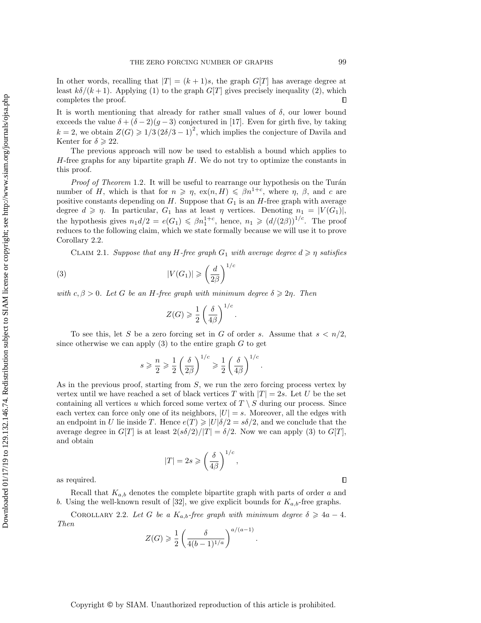In other words, recalling that  $|T| = (k + 1)s$ , the graph  $G[T]$  has average degree at least  $k\delta / (k + 1)$ . Applying [\(1\)](#page-3-2) to the graph G[T] gives precisely inequality [\(2\)](#page-3-1), which completes the proof.  $\Box$ 

It is worth mentioning that already for rather small values of  $\delta$ , our lower bound exceeds the value  $\delta + (\delta - 2)(g - 3)$  conjectured in [\[17\]](#page-19-17). Even for girth five, by taking  $k = 2$ , we obtain  $Z(G) \geq 1/3 \left( 2\delta /3 - 1 \right)^2$ , which implies the conjecture of Davila and Kenter for  $\delta \geqslant 22$ .

The previous approach will now be used to establish a bound which applies to  $H$ -free graphs for any bipartite graph  $H$ . We do not try to optimize the constants in this proof.

*Proof of Theorem* [1.2](#page-1-1). It will be useful to rearrange our hypothesis on the Turán number of H, which is that for  $n \geq \eta$ ,  $ex(n, H) \leq \beta n^{1+c}$ , where  $\eta$ ,  $\beta$ , and c are positive constants depending on  $H$ . Suppose that  $G_1$  is an  $H$ -free graph with average degree  $d \geqslant \eta$ . In particular,  $G_1$  has at least  $\eta$  vertices. Denoting  $n_1 = |V(G_1)|$ , the hypothesis gives  $n_1 d/2 = e(G_1) \leqslant \beta n_1^{1+c}$ , hence,  $n_1 \geqslant (d/(2\beta))^{1/c}$ . The proof reduces to the following claim, which we state formally because we will use it to prove Corollary [2.2.](#page-4-0)

<span id="page-4-2"></span>CLAIM 2.1. Suppose that any H-free graph  $G_1$  with average degree  $d \geq \eta$  satisfies

(3) 
$$
|V(G_1)| \geqslant \left(\frac{d}{2\beta}\right)^{1/c}
$$

with c,  $\beta > 0$ . Let G be an H-free graph with minimum degree  $\delta \geqslant 2\eta$ . Then

<span id="page-4-1"></span>
$$
Z(G) \geqslant \frac{1}{2} \left( \frac{\delta}{4\beta} \right)^{1/c}.
$$

To see this, let S be a zero forcing set in G of order s. Assume that  $s < n/2$ , since otherwise we can apply  $(3)$  to the entire graph G to get

$$
s \geqslant \frac{n}{2} \geqslant \frac{1}{2} \left( \frac{\delta}{2\beta} \right)^{1/c} \geqslant \frac{1}{2} \left( \frac{\delta}{4\beta} \right)^{1/c}.
$$

As in the previous proof, starting from S, we run the zero forcing process vertex by vertex until we have reached a set of black vertices T with  $|T| = 2s$ . Let U be the set containing all vertices u which forced some vertex of  $T \setminus S$  during our process. Since each vertex can force only one of its neighbors,  $|U| = s$ . Moreover, all the edges with an endpoint in U lie inside T. Hence  $e(T) \geq |U| \delta /2 = s\delta /2$ , and we conclude that the average degree in  $G[T]$  is at least  $2(s\delta /2)/|T| = \delta /2$ . Now we can apply [\(3\)](#page-4-1) to  $G[T]$ , and obtain

$$
|T| = 2s \geqslant \left(\frac{\delta}{4\beta}\right)^{1/c},
$$

as required.

Recall that  $K_{a,b}$  denotes the complete bipartite graph with parts of order a and b. Using the well-known result of [\[32\]](#page-20-2), we give explicit bounds for  $K_{a,b}$ -free graphs.

COROLLARY 2.2. Let G be a  $K_{a,b}$ -free graph with minimum degree  $\delta \geqslant 4a - 4$ . Then

$$
Z(G) \ge \frac{1}{2} \left( \frac{\delta}{4(b-1)^{1/a}} \right)^{a/(a-1)}
$$

.

<span id="page-4-0"></span> $\Box$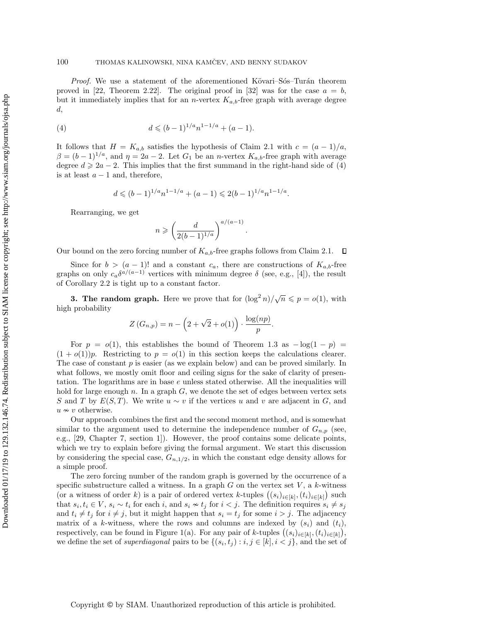*Proof.* We use a statement of the aforementioned Kövari-Sós-Turán theorem proved in [\[22,](#page-19-18) Theorem 2.22]. The original proof in [\[32\]](#page-20-2) was for the case  $a = b$ , but it immediately implies that for an *n*-vertex  $K_{a,b}$ -free graph with average degree d,

(4) 
$$
d \leqslant (b-1)^{1/a} n^{1-1/a} + (a-1).
$$

It follows that  $H = K_{a,b}$  satisfies the hypothesis of Claim [2.1](#page-4-2) with  $c = (a-1)/a$ ,  $\beta = (b - 1)^{1/a}$ , and  $\eta = 2a - 2$ . Let  $G_1$  be an *n*-vertex  $K_{a,b}$ -free graph with average degree  $d \geq 2a - 2$ . This implies that the first summand in the right-hand side of [\(4\)](#page-5-1) is at least  $a - 1$  and, therefore,

<span id="page-5-1"></span>
$$
d \leqslant (b-1)^{1/a} n^{1-1/a} + (a-1) \leqslant 2(b-1)^{1/a} n^{1-1/a}.
$$

Rearranging, we get

$$
n\geqslant \left(\frac{d}{2(b-1)^{1/a}}\right)^{a/(a-1)}
$$

.

Our bound on the zero forcing number of  $K_{a,b}$ -free graphs follows from Claim [2.1.](#page-4-2)  $\Box$ 

Since for  $b > (a - 1)!$  and a constant  $c_a$ , there are constructions of  $K_{a,b}$ -free graphs on only  $c_a\delta^{a/(a-1)}$  vertices with minimum degree  $\delta$  (see, e.g., [\[4\]](#page-19-23)), the result of Corollary [2.2](#page-4-0) is tight up to a constant factor.

<span id="page-5-0"></span>**3. The random graph.** Here we prove that for  $(\log^2 n)/\sqrt{n} \leq p = o(1)$ , with high probability

$$
Z(G_{n,p}) = n - \left(2 + \sqrt{2} + o(1)\right) \cdot \frac{\log(np)}{p}.
$$

For  $p = o(1)$ , this establishes the bound of Theorem [1.3](#page-2-2) as  $-\log(1-p)$ .  $(1 + o(1))p$ . Restricting to  $p = o(1)$  in this section keeps the calculations clearer. The case of constant  $p$  is easier (as we explain below) and can be proved similarly. In what follows, we mostly omit floor and ceiling signs for the sake of clarity of presentation. The logarithms are in base  $e$  unless stated otherwise. All the inequalities will hold for large enough n. In a graph  $G$ , we denote the set of edges between vertex sets S and T by  $E(S,T)$ . We write  $u \sim v$  if the vertices u and v are adjacent in G, and  $u \nsim v$  otherwise.

Our approach combines the first and the second moment method, and is somewhat similar to the argument used to determine the independence number of  $G_{n,p}$  (see, e.g., [\[29,](#page-19-24) Chapter 7, section 1]). However, the proof contains some delicate points, which we try to explain before giving the formal argument. We start this discussion by considering the special case,  $G_{n,1/2}$ , in which the constant edge density allows for a simple proof.

The zero forcing number of the random graph is governed by the occurrence of a specific substructure called a witness. In a graph  $G$  on the vertex set  $V$ , a k-witness (or a witness of order k) is a pair of ordered vertex k-tuples  $((s_i)_{i\in [k]}, (t_i)_{i\in [k]})$  such that  $s_i, t_i \in V$ ,  $s_i \sim t_i$  for each i, and  $s_i \nsim t_j$  for  $i < j$ . The definition requires  $s_i \neq s_j$ and  $t_i \neq t_j$  for  $i \neq j$ , but it might happen that  $s_i = t_j$  for some  $i > j$ . The adjacency matrix of a k-witness, where the rows and columns are indexed by  $(s_i)$  and  $(t_i)$ , respectively, can be found in Figure [1\(a\).](#page-6-0) For any pair of k-tuples  $((s_i)_{i\in [k]}, (t_i)_{i\in [k]})$ , we define the set of *superdiagonal* pairs to be  $\{ (s_i, t_j) : i, j \in [k], i < j \}$ , and the set of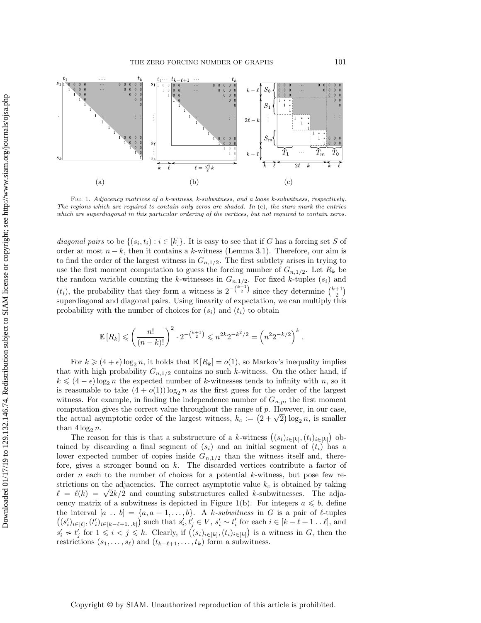<span id="page-6-0"></span>

Fig. 1. Adjacency matrices of a k-witness, k-subwitness, and a loose k-subwitness, respectively. The regions which are required to contain only zeros are shaded. In  $(c)$ , the stars mark the entries which are superdiagonal in this particular ordering of the vertices, but not required to contain zeros.

diagonal pairs to be  $\{ (s_i, t_i) : i \in [k] \}$ . It is easy to see that if G has a forcing set S of order at most  $n - k$ , then it contains a k-witness (Lemma [3.1\)](#page-8-0). Therefore, our aim is to find the order of the largest witness in  $G_{n,1/2}$ . The first subtlety arises in trying to use the first moment computation to guess the forcing number of  $G_{n,1/2}$ . Let  $R_k$  be the random variable counting the k-witnesses in  $G_{n,1/2}$ . For fixed k-tuples  $(s_i)$  and  $(t_i)$ , the probability that they form a witness is  $2^{-\binom{k+1}{2}}$  since they determine  $\binom{k+1}{2}$ superdiagonal and diagonal pairs. Using linearity of expectation, we can multiply this probability with the number of choices for  $(s_i)$  and  $(t_i)$  to obtain

$$
\mathbb{E}\left[R_k\right] \leqslant \left(\frac{n!}{(n-k)!}\right)^2 \cdot 2^{-\binom{k+1}{2}} \leqslant n^{2k} 2^{-k^2/2} = \left(n^2 2^{-k/2}\right)^k.
$$

For  $k \geqslant (4 + \epsilon) \log_2 n$ , it holds that  $\mathbb{E}[R_k] = o(1)$ , so Markov's inequality implies that with high probability  $G_{n,1/2}$  contains no such k-witness. On the other hand, if  $k \leq (4 - \epsilon) \log_2 n$  the expected number of k-witnesses tends to infinity with n, so it is reasonable to take  $(4 + o(1)) \log_2 n$  as the first guess for the order of the largest witness. For example, in finding the independence number of  $G_{n,p}$ , the first moment computation gives the correct value throughout the range of p. However, in our case, computation gives the correct value throughout the range of p. However, in our case,<br>the actual asymptotic order of the largest witness,  $k_c := \left( 2 + \sqrt{2} \right) \log_2 n$ , is smaller than  $4 \log_2 n$ .

The reason for this is that a substructure of a k-witness  $((s_i)_{i\in [k]}, (t_i)_{i\in [k]})$  obtained by discarding a final segment of  $(s_i)$  and an initial segment of  $(t_i)$  has a lower expected number of copies inside  $G_{n,1/2}$  than the witness itself and, therefore, gives a stronger bound on  $k$ . The discarded vertices contribute a factor of order  $n$  each to the number of choices for a potential  $k$ -witness, but pose few restrictions on the adjacencies. The correct asymptotic value  $k_c$  is obtained by taking strictions on the adjacencies. The correct asymptotic value  $\kappa_c$  is obtained by taking  $\ell = \ell(k) = \sqrt{2k/2}$  and counting substructures called k-subwitnesses. The adja-cency matrix of a subwitness is depicted in Figure [1\(b\).](#page-6-0) For integers  $a \leq b$ , define the interval  $[a \dots b] = \{a, a + 1, \dots, b\}$ . A k-subwitness in G is a pair of  $\ell$ -tuples  $((s_i')_{i\in [\ell]},(t_i')_{i\in [k-\ell+1..k]})$  such that  $s_i', t_j' \in V$ ,  $s_i' \sim t_i'$  for each  $i \in [k-\ell+1..\ell]$ , and  $s'_i \nsim t'_j$  for  $1 \leqslant i < j \leqslant k$ . Clearly, if  $((s_i)_{i\in [k]}, (t_i)_{i\in [k]})$  is a witness in G, then the restrictions  $(s_1, \ldots, s_\ell)$  and  $(t_{k - \ell +1}, \ldots, t_k)$  form a subwitness.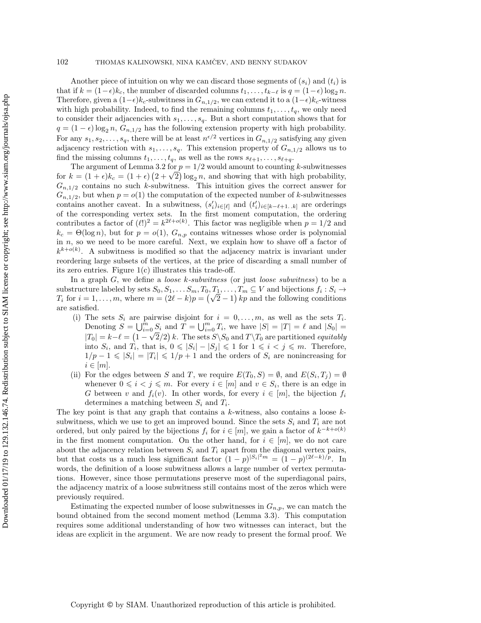Another piece of intuition on why we can discard those segments of  $(s_i)$  and  $(t_i)$  is that if  $k = (1 - \epsilon)k_c$ , the number of discarded columns  $t_1, \ldots, t_{k-\ell}$  is  $q = (1 - \epsilon) \log_2 n$ . Therefore, given a  $(1 - \epsilon)k_c$ -subwitness in  $G_{n,1/2}$ , we can extend it to a  $(1 - \epsilon)k_c$ -witness with high probability. Indeed, to find the remaining columns  $t_1, \ldots, t_q$ , we only need to consider their adjacencies with  $s_1, \ldots, s_q$ . But a short computation shows that for  $q = (1 - \epsilon) \log_2 n$ ,  $G_{n,1/2}$  has the following extension property with high probability. For any  $s_1, s_2, \ldots, s_q$ , there will be at least  $n^{\epsilon/2}$  vertices in  $G_{n,1/2}$  satisfying any given adjacency restriction with  $s_1, \ldots, s_q$ . This extension property of  $G_{n,1/2}$  allows us to find the missing columns  $t_1, \ldots, t_q$ , as well as the rows  $s_{\ell+1}, \ldots, s_{\ell+q}$ .

The argument of Lemma [3.2](#page-8-1) for  $p = 1/2$  would amount to counting k-subwitnesses The argument of Lemma 3.2 for  $p = 1/2$  would amount to counting *k*-subwitnesses<br>for  $k = (1 + \epsilon)k_c = (1 + \epsilon) (2 + \sqrt{2}) \log_2 n$ , and showing that with high probability,  $G_{n,1/2}$  contains no such k-subwitness. This intuition gives the correct answer for  $G_{n,1/2}$ , but when  $p = o(1)$  the computation of the expected number of k-subwitnesses contains another caveat. In a subwitness,  $(s_i')_{i\in [\ell]}$  and  $(t_i')_{i\in [k - \ell + 1..k]}$  are orderings of the corresponding vertex sets. In the first moment computation, the ordering contributes a factor of  $(\ell!)^2 = k^{2\ell + o(k)}$ . This factor was negligible when  $p = 1/2$  and  $k_c = \Theta(\log n)$ , but for  $p = o(1)$ ,  $G_{n,p}$  contains witnesses whose order is polynomial in  $n$ , so we need to be more careful. Next, we explain how to shave off a factor of  $k^{k+o(k)}$ . A subwitness is modified so that the adjacency matrix is invariant under reordering large subsets of the vertices, at the price of discarding a small number of its zero entries. Figure  $1(c)$  illustrates this trade-off.

In a graph G, we define a *loose k-subwitness* (or just *loose subwitness*) to be a substructure labeled by sets  $S_0, S_1, \ldots S_m, T_0, T_1, \ldots, T_m \subseteq V$  and bijections  $f_i : S_i \rightarrow$ substructure labeled by sets  $S_0, S_1, \ldots, S_m, I_0, I_1, \ldots, I_m \subseteq V$  and bijections  $J_i : S_i \to T_i$  for  $i = 1, \ldots, m$ , where  $m = (2\ell - k)p = (\sqrt{2} - 1)kp$  and the following conditions are satisfied.

- <span id="page-7-0"></span>(i) The sets  $S_i$  are pairwise disjoint for  $i = 0, \ldots, m$ , as well as the sets  $T_i$ . Denoting  $S = \bigcup_{i=0}^m S_i$  and  $\overline{T} = \bigcup_{i=0}^m T_i$ , we have  $|S| = |T| = \ell$  and  $|S_0| =$  $|T_0| = k - \ell = (1 - \sqrt{2}/2) k$ . The sets  $S \setminus S_0$  and  $T \setminus T_0$  are partitioned equitably into  $S_i$ , and  $T_i$ , that is,  $0 \leqslant |S_i| - |S_j| \leqslant 1$  for  $1 \leqslant i \leqslant j \leqslant m$ . Therefore,  $1/p - 1 \leqslant |S_i| = |T_i| \leqslant 1/p + 1$  and the orders of  $S_i$  are nonincreasing for  $i \in [m]$ .
- <span id="page-7-1"></span>(ii) For the edges between S and T, we require  $E(T_0, S) = \emptyset$ , and  $E(S_i, T_j) = \emptyset$ whenever  $0 \leq i \leq j \leq m$ . For every  $i \in [m]$  and  $v \in S_i$ , there is an edge in G between v and  $f_i(v)$ . In other words, for every  $i \in [m]$ , the bijection  $f_i$ determines a matching between  $S_i$  and  $T_i$ .

The key point is that any graph that contains a  $k$ -witness, also contains a loose  $k$ subwitness, which we use to get an improved bound. Since the sets  $S_i$  and  $T_i$  are not ordered, but only paired by the bijections  $f_i$  for  $i \in [m]$ , we gain a factor of  $k^{-k+o(k)}$ in the first moment computation. On the other hand, for  $i \in [m]$ , we do not care about the adjacency relation between  $S_i$  and  $T_i$  apart from the diagonal vertex pairs, but that costs us a much less significant factor  $(1-p)^{|S_i|^2 m} = (1-p)^{(2\ell-k)/p}$ . In words, the definition of a loose subwitness allows a large number of vertex permutations. However, since those permutations preserve most of the superdiagonal pairs, the adjacency matrix of a loose subwitness still contains most of the zeros which were previously required.

Estimating the expected number of loose subwitnesses in  $G_{n,p}$ , we can match the bound obtained from the second moment method (Lemma [3.3\)](#page-9-0). This computation requires some additional understanding of how two witnesses can interact, but the ideas are explicit in the argument. We are now ready to present the formal proof. We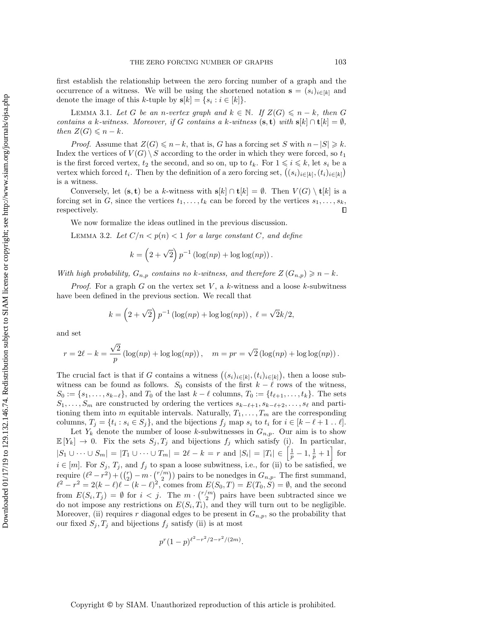first establish the relationship between the zero forcing number of a graph and the occurrence of a witness. We will be using the shortened notation  $\mathbf{s} = (s_i)_{i\in [k]}$  and denote the image of this k-tuple by  $s[k] = \{ s_i : i \in [k] \}.$ 

<span id="page-8-0"></span>LEMMA 3.1. Let G be an n-vertex graph and  $k \in \Bbb N$ . If  $Z(G) \leqslant n - k$ , then G contains a k-witness. Moreover, if G contains a k-witness  $(\mathbf{s}, \mathbf{t})$  with  $\mathbf{s}[k] \cap \mathbf{t}[k] = \emptyset$ , then  $Z(G) \leqslant n - k$ .

*Proof.* Assume that  $Z(G) \leq n - k$ , that is, G has a forcing set S with  $n - |S| \geq k$ . Index the vertices of  $V(G) \setminus S$  according to the order in which they were forced, so  $t_1$ is the first forced vertex,  $t_2$  the second, and so on, up to  $t_k$ . For  $1 \leqslant i \leqslant k$ , let  $s_i$  be a vertex which forced  $t_i$ . Then by the definition of a zero forcing set,  $((s_i)_{i\in [k]}, (t_i)_{i\in [k]})$ is a witness.

Conversely, let  $(\mathbf{s}, \mathbf{t})$  be a k-witness with  $\mathbf{s}[k] \cap \mathbf{t}[k] = \emptyset$ . Then  $V (G) \setminus \mathbf{t}[k]$  is a forcing set in G, since the vertices  $t_1, \ldots, t_k$  can be forced by the vertices  $s_1, \ldots, s_k$ , respectively.

We now formalize the ideas outlined in the previous discussion.

<span id="page-8-1"></span>LEMMA 3.2. Let  $C/n < p(n) < 1$  for a large constant C, and define

$$
k = \left(2 + \sqrt{2}\right)p^{-1}\left(\log(np) + \log\log(np)\right).
$$

With high probability,  $G_{n,p}$  contains no k-witness, and therefore  $Z(G_{n,p}) \geq n - k$ .

*Proof.* For a graph G on the vertex set V, a k-witness and a loose k-subwitness have been defined in the previous section. We recall that

$$
k = (2 + \sqrt{2}) p^{-1} (\log(np) + \log \log(np)), \ell = \sqrt{2k/2},
$$

and set

$$
r = 2\ell - k = \frac{\sqrt{2}}{p} \left( \log(np) + \log \log(np) \right), \quad m = pr = \sqrt{2} \left( \log(np) + \log \log(np) \right).
$$

The crucial fact is that if G contains a witness  $((s_i)_{i\in [k]}, (t_i)_{i\in [k]})$ , then a loose subwitness can be found as follows.  $S_0$  consists of the first  $k - \ell$  rows of the witness,  $S_0 := \{ s_1, \ldots, s_{k-\ell} \},$  and  $T_0$  of the last  $k - \ell$  columns,  $T_0 := \{ t_{\ell+1}, \ldots, t_k\}$ . The sets  $S_1, \ldots, S_m$  are constructed by ordering the vertices  $s_{k-\ell+1}, s_{k-\ell+2}, \ldots, s_{\ell}$  and partitioning them into m equitable intervals. Naturally,  $T_1, \ldots, T_m$  are the corresponding columns,  $T_j = \{ t_i : s_i \in S_j \}$ , and the bijections  $f_j$  map  $s_i$  to  $t_i$  for  $i \in [k - \ell + 1 \dots \ell]$ .

Let  $Y_k$  denote the number of loose k-subwitnesses in  $G_{n,p}$ . Our aim is to show  $\mathbb{E}[Y_k] \rightarrow 0$ . Fix the sets  $S_j, T_j$  and bijections  $f_j$  which satisfy [\(i\).](#page-7-0) In particular,  $|S_1 \cup \cdots \cup S_m| = |T_1 \cup \cdots \cup T_m| = 2\ell - k = r$  and  $|S_i| = |T_i| \in \left[\frac{1}{p} - 1, \frac{1}{p} + 1\right]$  for  $i \in [m]$ . For  $S_j, T_j$ , and  $f_j$  to span a loose subwitness, i.e., for [\(ii\)](#page-7-1) to be satisfied, we require  $(\ell^2 - r^2) + (\binom{r}{2} - m \cdot \binom{r/m}{2})$  pairs to be nonedges in  $G_{n,p}$ . The first summand,  $\ell^2 - r^2 = 2(k - \ell)\ell - (k - \ell)^2$ , comes from  $E(S_0, T) = E(T_0, S) = \emptyset$ , and the second from  $E(S_i, T_j) = \emptyset$  for  $i < j$ . The  $m \cdot {r/m \choose 2}$  pairs have been subtracted since we do not impose any restrictions on  $E(S_i, T_i)$ , and they will turn out to be negligible. Moreover, [\(ii\)](#page-7-1) requires r diagonal edges to be present in  $G_{n,p}$ , so the probability that our fixed  $S_j, T_j$  and bijections  $f_j$  satisfy (ii) is at most

$$
p^r(1-p)^{\ell^2 - r^2/2 - r^2/(2m)}.
$$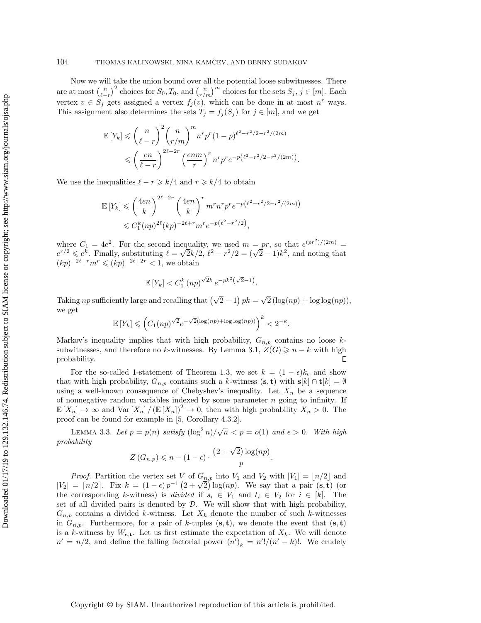Now we will take the union bound over all the potential loose subwitnesses. There are at most  $\binom{n}{\ell - r}^2$  choices for  $S_0, T_0$ , and  $\binom{n}{r/m}^m$  choices for the sets  $S_j, j \in [m]$ . Each vertex  $v \in S_j$  gets assigned a vertex  $f_j (v)$ , which can be done in at most  $n^r$  ways. This assignment also determines the sets  $T_j = f_j(S_j)$  for  $j \in [m]$ , and we get

$$
\mathbb{E}\left[Y_k\right] \leqslant \binom{n}{\ell-r}^2 \binom{n}{r/m}^m n^r p^r (1-p)^{\ell^2 - r^2/2 - r^2/(2m)} \\
\leqslant \left(\frac{en}{\ell-r}\right)^{2\ell - 2r} \left(\frac{enm}{r}\right)^r n^r p^r e^{-p\left(\ell^2 - r^2/2 - r^2/(2m)\right)}.
$$

We use the inequalities  $\ell - r \geq k/4$  and  $r \geq k/4$  to obtain

$$
\mathbb{E}\left[Y_k\right] \leqslant \left(\frac{4en}{k}\right)^{2\ell - 2r} \left(\frac{4en}{k}\right)^r m^r n^r p^r e^{-p\left(\ell^2 - r^2/2 - r^2/(2m)\right)} \leqslant C_1^k (np)^{2\ell} (kp)^{-2\ell + r} m^r e^{-p\left(\ell^2 - r^2/2\right)},
$$

where  $C_1 = 4e^2$ . For the second inequality, we used  $m = pr$ , so that  $e^{(pr^2)/(2m)} =$ where  $C_1 = 4e^z$ . For the second inequality, we used  $m = pr$ , so that  $e^{(p+1)/(2m)} = e^{r/2} \leq e^k$ . Finally, substituting  $\ell = \sqrt{2k/2}$ ,  $\ell^2 - r^2/2 = (\sqrt{2} - 1)k^2$ , and noting that  $(kp)^{-2\ell+r}m^r \leqslant (kp)^{-2\ell+2r} < 1$ , we obtain

$$
\mathbb{E}\left[Y_k\right] < C_1^k \left(np\right)^{\sqrt{2}k} e^{-pk^2\left(\sqrt{2}-1\right)}
$$

.

.

Taking *np* sufficiently large and recalling that  $\left( \sqrt{2} - 1 \right) pk =$  $\overline{\phantom{a}}$  $2(\log(np) + \log \log(np)),$ we get

$$
\mathbb{E}\left[Y_k\right] \leqslant \left(C_1(np)^{\sqrt{2}}e^{-\sqrt{2}(\log (np) + \log \log (np))}\right)^k < 2^{-k}
$$

Markov's inequality implies that with high probability,  $G_{n,p}$  contains no loose k-subwitnesses, and therefore no k-witnesses. By Lemma [3.1,](#page-8-0)  $Z(G) \geq n - k$  with high probability. П

For the so-called 1-statement of Theorem [1.3,](#page-2-2) we set  $k = (1 - \epsilon)k_c$  and show that with high probability,  $G_{n,p}$  contains such a k-witness  $(\mathbf{s}, \mathbf{t})$  with  $\mathbf{s}[k] \cap \mathbf{t}[k] = \emptyset$ using a well-known consequence of Chebyshev's inequality. Let  $X_n$  be a sequence of nonnegative random variables indexed by some parameter  $n$  going to infinity. If  $\Bbb E [X_n] \rightarrow \infty$  and  $\text{Var} [X_n] / (\Bbb E [X_n])^2 \rightarrow 0$ , then with high probability  $X_n > 0$ . The proof can be found for example in [\[5,](#page-19-25) Corollary 4.3.2].

<span id="page-9-0"></span>LEMMA 3.3. Let  $p = p(n)$  satisfy  $(\log^2 n)/\sqrt{n} < p = o(1)$  and  $\epsilon > 0$ . With high probability

$$
Z(G_{n,p}) \leqslant n - (1 - \epsilon) \cdot \frac{(2 + \sqrt{2}) \log (np)}{p}.
$$

*Proof.* Partition the vertex set V of  $G_{n,p}$  into  $V_1$  and  $V_2$  with  $|V_1| = \lfloor n/2 \rfloor$  and *Proof.* Partition the vertex set V of  $G_{n,p}$  into  $V_1$  and  $V_2$  with  $|V_1| = \lfloor n/2 \rfloor$  and  $|V_2| = \lceil n/2 \rceil$ . Fix  $k = (1 - \epsilon)p^{-1}(2 + \sqrt{2})\log(np)$ . We say that a pair  $(\mathbf{s}, \mathbf{t})$  (or the corresponding k-witness) is divided if  $s_i \in V_1$  and  $t_i \in V_2$  for  $i \in [k]$ . The set of all divided pairs is denoted by  $\mathcal D$ . We will show that with high probability,  $G_{n,p}$  contains a divided k-witness. Let  $X_k$  denote the number of such k-witnesses in  $G_{n,p}$ . Furthermore, for a pair of k-tuples  $(s, t)$ , we denote the event that  $(s, t)$ is a k-witness by  $W_{\text{s.t.}}$  Let us first estimate the expectation of  $X_k$ . We will denote  $n' = n/2$ , and define the falling factorial power  $(n')_k = n'!/(n'-k)!$ . We crudely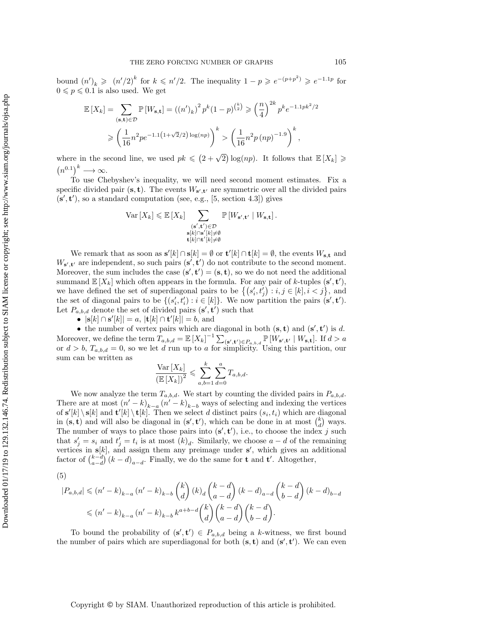bound  $(n')_k \geq (n'/2)^k$  for  $k \leq n'/2$ . The inequality  $1 - p \geqslant e^{-(p+p^2)} \geqslant e^{-1.1p}$  for  $0 \leqslant p \leqslant 0.1$  is also used. We get

$$
\mathbb{E}\left[X_k\right] = \sum_{(\mathbf{s}, \mathbf{t}) \in \mathcal{D}} \mathbb{P}\left[W_{\mathbf{s}, \mathbf{t}}\right] = \left((n')_k\right)^2 p^k (1-p)^{\binom{k}{2}} \geqslant \left(\frac{n}{4}\right)^{2k} p^k e^{-1.1pk^2/2}
$$

$$
\geqslant \left(\frac{1}{16}n^2 p e^{-1.1\left(1+\sqrt{2}/2\right)\log(np)}\right)^k > \left(\frac{1}{16}n^2 p \left(np\right)^{-1.9}\right)^k,
$$

where in the second line, we used  $pk \leq (2 + \sqrt{2}) \log(np)$ . It follows that  $\mathbb{E}[X_k] \geq$  $\big( n^{0.1} \big)^k \longrightarrow \infty.$ 

To use Chebyshev's inequality, we will need second moment estimates. Fix a specific divided pair  $(\mathbf{s}, \mathbf{t})$ . The events  $W_{\mathbf{s}', \mathbf{t}'}$  are symmetric over all the divided pairs  $(\mathbf{s}', \mathbf{t}')$ , so a standard computation (see, e.g., [\[5,](#page-19-25) section 4.3]) gives

$$
\operatorname{Var}\left[X_{k}\right] \leqslant \mathbb{E}\left[X_{k}\right] \sum_{\substack{(\mathbf{s}', \mathbf{t}') \in \mathcal{D} \\ \mathbf{s}[k] \cap \mathbf{s}'[k] \neq \emptyset \\ \mathbf{t}[k] \cap \mathbf{t}'[k] \neq \emptyset}} \mathbb{P}\left[W_{\mathbf{s}', \mathbf{t}'} \mid W_{\mathbf{s}, \mathbf{t}}\right].
$$

We remark that as soon as  $\mathbf{s}'[k] \cap \mathbf{s}[k] = \emptyset$  or  $\mathbf{t}'[k] \cap \mathbf{t}[k] = \emptyset$ , the events  $W_{\mathbf{s},\mathbf{t}}$  and  $W_{s',t'}$  are independent, so such pairs  $(s',t')$  do not contribute to the second moment. Moreover, the sum includes the case  $(s', t') = (s, t)$ , so we do not need the additional summand  $\mathbb{E}[X_k]$  which often appears in the formula. For any pair of k-tuples  $(\mathbf{s}', \mathbf{t}')$ , we have defined the set of superdiagonal pairs to be  $\big\{ \big( s_i', t_j' \big) : i, j \in [k], i < j \big\}$ , and the set of diagonal pairs to be  $\{(s'_i, t'_i) : i \in [k]\}$ . We now partition the pairs  $(\mathbf{s}', \mathbf{t}')$ . Let  $P_{a,b,d}$  denote the set of divided pairs  $(\mathbf{s}', \mathbf{t}')$  such that

 $\bullet$   $|{\bf s}[k] \cap {\bf s}'[k]| = a$ ,  $|{\bf t}[k] \cap {\bf t}'[k]| = b$ , and

• the number of vertex pairs which are diagonal in both  $(\mathbf{s}, \mathbf{t})$  and  $(\mathbf{s}', \mathbf{t}')$  is d. Moreover, we define the term  $T_{a,b,d} = \mathbb{E} [X_k]^{-1} \sum_{(\mathbf{s}', \mathbf{t}') \in P_{a,b,d}} \mathbb{P} [W_{\mathbf{s}', \mathbf{t}'} | W_{\mathbf{s}, \mathbf{t}}]$ . If  $d > a$ or  $d > b$ ,  $T_{a,b,d} = 0$ , so we let d run up to a for simplicity. Using this partition, our sum can be written as

$$
\frac{\text{Var}\left[X_k\right]}{\left(\mathbb{E}\left[X_k\right]\right)^2} \leqslant \sum_{a,b=1}^k \sum_{d=0}^a T_{a,b,d}.
$$

We now analyze the term  $T_{a,b,d}$ . We start by counting the divided pairs in  $P_{a,b,d}$ . There are at most  $(n' - k)_{k - a}$   $(n' - k)_{k - b}$  ways of selecting and indexing the vertices of  $s'[k] \setminus s[k]$  and  $t'[k] \setminus t[k]$ . Then we select d distinct pairs  $(s_i, t_i)$  which are diagonal in  $(\mathbf{s}, \mathbf{t})$  and will also be diagonal in  $(\mathbf{s}', \mathbf{t}')$ , which can be done in at most  $\begin{pmatrix} k \\ d \end{pmatrix}$  ways. The number of ways to place those pairs into  $(\mathbf{s}', \mathbf{t}')$ , i.e., to choose the index j such that  $s'_j = s_i$  and  $t'_j = t_i$  is at most  $(k)_d$ . Similarly, we choose  $a - d$  of the remaining vertices in  $s[k]$ , and assign them any preimage under  $s'$ , which gives an additional factor of  $\binom{k-d}{a-d} (k-d)_{a-d}$ . Finally, we do the same for **t** and **t'**. Altogether,

<span id="page-10-0"></span>(5)

$$
|P_{a,b,d}| \leq (n'-k)_{k-a} (n'-k)_{k-b} {k \choose d} (k)_d {k-d \choose a-d} (k-d)_{a-d} {k-d \choose b-d} (k-d)_{b-d}
$$
  

$$
\leq (n'-k)_{k-a} (n'-k)_{k-b} k^{a+b-d} {k \choose d} {k-d \choose a-d} {k-d \choose b-d}.
$$

To bound the probability of  $(s', t') \in P_{a,b,d}$  being a k-witness, we first bound the number of pairs which are superdiagonal for both  $(s, t)$  and  $(s', t')$ . We can even

## Copyright © by SIAM. Unauthorized reproduction of this article is prohibited.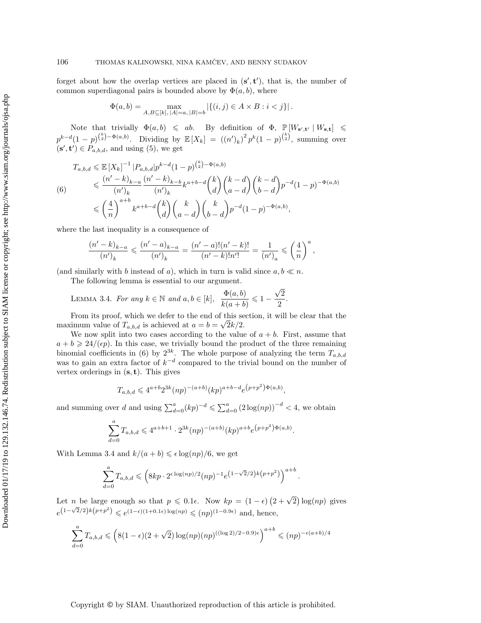forget about how the overlap vertices are placed in  $(\mathbf{s}', \mathbf{t}')$ , that is, the number of common superdiagonal pairs is bounded above by  $\Phi (a, b)$ , where

$$
\Phi(a, b) = \max_{A, B \subseteq [k], |A| = a, |B| = b} |\{(i, j) \in A \times B : i < j\}|.
$$

Note that trivially  $\Phi (a, b) \leqslant ab$ . By definition of  $\Phi$ ,  $\mathbb{P} [W_{s',t'} | W_{s,t}] \leqslant$  $p^{k-d}(1-p)^{\binom{k}{2}-\Phi(a,b)}$ . Dividing by  $\mathbb{E}[X_k] = ((n')_k)^2 p^k (1-p)^{\binom{k}{2}}$ , summing over  $(\mathbf{s}', \mathbf{t}') \in P_{a,b,d}$ , and using [\(5\)](#page-10-0), we get

<span id="page-11-0"></span>
$$
T_{a,b,d} \leqslant \mathbb{E}\left[X_k\right]^{-1} |P_{a,b,d}| p^{k-d} (1-p)^{\binom{k}{2} - \Phi(a,b)}
$$
\n
$$
\leqslant \frac{(n'-k)_{k-a}}{(n')_k} \frac{(n'-k)_{k-b}}{(n')_k} k^{a+b-d} \binom{k}{d} \binom{k-d}{a-d} \binom{k-d}{b-d} p^{-d} (1-p)^{-\Phi(a,b)}
$$
\n
$$
\leqslant \left(\frac{4}{n}\right)^{a+b} k^{a+b-d} \binom{k}{d} \binom{k}{a-d} \binom{k}{b-d} p^{-d} (1-p)^{-\Phi(a,b)},
$$

where the last inequality is a consequence of

<span id="page-11-1"></span>
$$
\frac{(n'-k)_{k-a}}{(n')_k} \leqslant \frac{(n'-a)_{k-a}}{(n')_k} = \frac{(n'-a)!(n'-k)!}{(n'-k)!n'!} = \frac{1}{(n')_a} \leqslant \left(\frac{4}{n}\right)^a,
$$

(and similarly with b instead of a), which in turn is valid since  $a, b \ll n$ .

The following lemma is essential to our argument.

LEMMA 3.4. For any  $k \in \Bbb N$  and  $a, b \in [k], \frac{\Phi(a, b)}{\Phi(a, b)}$  $\frac{\Psi(a, b)}{k(a + b)} \leq 1 \overline{\phantom{a}}$  $\overline{2}$  $\frac{2}{2}$ .

From its proof, which we defer to the end of this section, it will be clear that the maximum value of  $T_{a,b,d}$  is achieved at  $a = b = \sqrt{2k/2}$ .

We now split into two cases according to the value of  $a + b$ . First, assume that  $a + b \geq 24/(\epsilon p)$ . In this case, we trivially bound the product of the three remaining binomial coefficients in [\(6\)](#page-11-0) by  $2^{3k}$ . The whole purpose of analyzing the term  $T_{a,b,d}$ was to gain an extra factor of  $k^{-d}$  compared to the trivial bound on the number of vertex orderings in  $(s, t)$ . This gives

$$
T_{a,b,d} \leqslant 4^{a+b} 2^{3k} (np)^{-(a+b)} (kp)^{a+b-d} e^{(p+p^2)\Phi(a,b)},
$$

and summing over d and using  $\sum_{d=0}^{a} (kp)^{-d} \leq \sum_{d=0}^{a} (2 \log(np))^{-d} < 4$ , we obtain

$$
\sum_{d=0}^{a} T_{a,b,d} \leqslant 4^{a+b+1} \cdot 2^{3k} (np)^{-(a+b)} (kp)^{a+b} e^{(p+p^2)\Phi(a,b)}.
$$

With Lemma [3.4](#page-11-1) and  $k/(a + b) \leq \epsilon \log(np)/6$ , we get

$$
\sum_{d=0}^{a} T_{a,b,d} \leqslant \left( 8kp \cdot 2^{\epsilon \log(np)/2} (np)^{-1} e^{\left(1 - \sqrt{2}/2\right)k\left(p + p^2\right)} \right)^{a+b}.
$$

Let *n* be large enough so that  $p \leq 0.1\epsilon$ . Now  $kp = (1 - \epsilon) (2 + \sqrt{2}) \log(np)$  gives  $e^{(1-\sqrt{2}/2)k(p+p^2)} \leqslant e^{(1-\epsilon)(1+0.1\epsilon)\log(np)} \leqslant (np)^{(1-0.9\epsilon)}$  and, hence,

$$
\sum_{d=0}^{a} T_{a,b,d} \leqslant \left( 8(1-\epsilon)(2+\sqrt{2})\log (np)(np)^{((\log 2)/2-0.9)\epsilon} \right)^{a+b} \leqslant (np)^{-\epsilon(a+b)/4}
$$

Copyright © by SIAM. Unauthorized reproduction of this article is prohibited.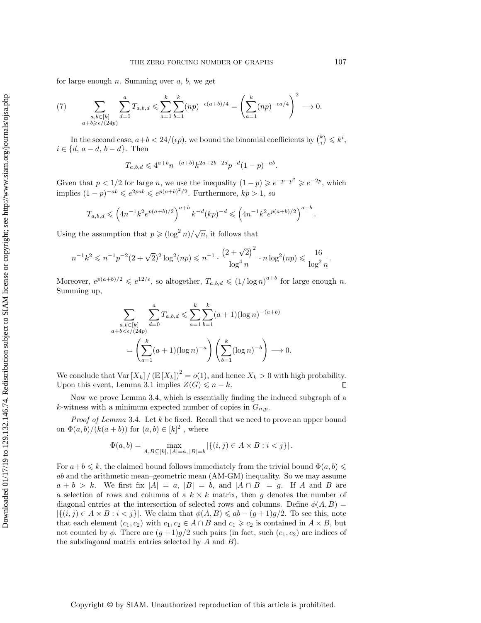for large enough  $n$ . Summing over  $a, b$ , we get

<span id="page-12-0"></span>(7) 
$$
\sum_{\substack{a,b \in [k] \\ a+b \geqslant \epsilon/(24p)}} \sum_{d=0}^{a} T_{a,b,d} \leqslant \sum_{a=1}^{k} \sum_{b=1}^{k} (np)^{-\epsilon(a+b)/4} = \left( \sum_{a=1}^{k} (np)^{-\epsilon a/4} \right)^2 \longrightarrow 0.
$$

In the second case,  $a+b < 24/(\epsilon p)$ , we bound the binomial coefficients by  $\binom{k}{i} \leqslant k^i$ ,  $i \in \{d, a - d, b - d\}$ . Then

$$
T_{a,b,d} \leqslant 4^{a+b}n^{-(a+b)}k^{2a+2b-2d}p^{-d}(1-p)^{-ab}
$$

.

Given that  $p < 1/2$  for large n, we use the inequality  $(1-p) \geqslant e^{-p-p^2} \geqslant e^{-2p}$ , which implies  $(1-p)^{-ab} \leqslant e^{2pab} \leqslant e^{p(a+b)^2/2}$ . Furthermore,  $kp > 1$ , so

$$
T_{a,b,d} \leqslant \left( 4n^{-1}k^2 e^{p(a+b)/2} \right)^{a+b} k^{-d} (kp)^{-d} \leqslant \left( 4n^{-1}k^2 e^{p(a+b)/2} \right)^{a+b}.
$$

Using the assumption that  $p \geqslant (\log^2 n)/\sqrt{n}$ , it follows that

$$
n^{-1}k^2 \leqslant n^{-1}p^{-2}(2+\sqrt{2})^2\log^2(np) \leqslant n^{-1} \cdot \frac{\left(2+\sqrt{2}\right)^2}{\log^4 n} \cdot n \log^2(np) \leqslant \frac{16}{\log^2 n}.
$$

Moreover,  $e^{p(a+b)/2} \leqslant e^{12/\epsilon}$ , so altogether,  $T_{a,b,d} \leqslant (1/\log n)^{a+b}$  for large enough n. Summing up,

$$
\sum_{\substack{a,b \in [k] \\ a+b < \epsilon/(24p)}} \sum_{d=0}^{a} T_{a,b,d} \leqslant \sum_{a=1}^{k} \sum_{b=1}^{k} (a+1)(\log n)^{-(a+b)} \\
= \left( \sum_{a=1}^{k} (a+1)(\log n)^{-a} \right) \left( \sum_{b=1}^{k} (\log n)^{-b} \right) \longrightarrow 0.
$$

We conclude that  $\text{Var}[X_k]/(\mathbb E [X_k])^2 = o(1)$ , and hence  $X_k > 0$  with high probability. Upon this event, Lemma [3.1](#page-8-0) implies  $Z(G) \leq n - k$ .  $\Box$ 

Now we prove Lemma [3.4,](#page-11-1) which is essentially finding the induced subgraph of a k-witness with a minimum expected number of copies in  $G_{n,p}$ .

*Proof of Lemma* [3.4](#page-11-1). Let  $k$  be fixed. Recall that we need to prove an upper bound on  $\Phi (a, b)/(k(a + b))$  for  $(a, b) \in [k]^2$ , where

$$
\Phi(a, b) = \max_{A, B \subseteq [k], |A| = a, |B| = b} |\{(i, j) \in A \times B : i < j\}|.
$$

For  $a+b \leq k$ , the claimed bound follows immediately from the trivial bound  $\Phi (a, b) \leq$  $ab$  and the arithmetic mean-geometric mean  $(AM-GM)$  inequality. So we may assume  $a + b > k$ . We first fix  $|A| = a$ ,  $|B| = b$ , and  $|A \cap B| = g$ . If A and B are a selection of rows and columns of a  $k \times k$  matrix, then g denotes the number of diagonal entries at the intersection of selected rows and columns. Define  $\phi(A, B) =$  $|\{(i, j) \in A \times B : i < j\}|$ . We claim that  $\phi(A, B) \leqslant ab - (g + 1)g/2$ . To see this, note that each element  $(c_1, c_2)$  with  $c_1, c_2 \in A \cap B$  and  $c_1 \geq c_2$  is contained in  $A \times B$ , but not counted by  $\phi$ . There are  $(g + 1)g/2$  such pairs (in fact, such  $(c_1, c_2)$ ) are indices of the subdiagonal matrix entries selected by  $A$  and  $B$ ).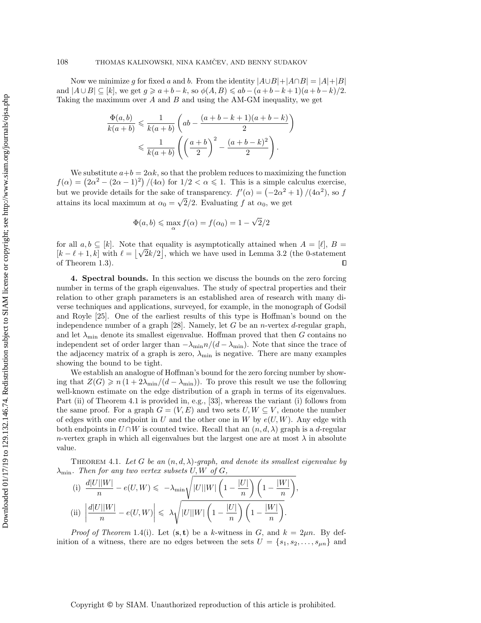Now we minimize g for fixed a and b. From the identity  $|A\cup B| + |A\cap B| = |A| + |B|$ and  $|A \cup B| \subseteq [k]$ , we get  $g \geqslant a + b - k$ , so  $\phi(A, B) \leqslant ab - (a + b - k + 1)(a + b - k)/2$ . Taking the maximum over  $A$  and  $B$  and using the AM-GM inequality, we get

$$
\frac{\Phi(a,b)}{k(a+b)} \leqslant \frac{1}{k(a+b)} \left( ab - \frac{(a+b-k+1)(a+b-k)}{2} \right) \leqslant \frac{1}{k(a+b)} \left( \left( \frac{a+b}{2} \right)^2 - \frac{(a+b-k)^2}{2} \right).
$$

We substitute  $a+b = 2\alpha k$ , so that the problem reduces to maximizing the function  $f(\alpha) = \left( 2\alpha^2 - (2\alpha - 1)^2 \right) / (4\alpha)$  for  $1/2 < \alpha \leq 1$ . This is a simple calculus exercise, but we provide details for the sake of transparency.  $f'(\alpha) = \left( -2\alpha^2 + 1 \right) / (4\alpha^2)$ , so f attains its local maximum at  $\alpha_0 = \sqrt{2}/2$ . Evaluating f at  $\alpha_0$ , we get

$$
\Phi(a, b) \le \max_{\alpha} f(\alpha) = f(\alpha_0) = 1 - \sqrt{2}/2
$$

for all  $a, b \subseteq [k]$ . Note that equality is asymptotically attained when  $A = [\ell], B =$ for all  $a, b \subseteq [k]$ . Note that equality is asymptotically attained when  $A = [l], B = [k - \ell + 1, k]$  with  $\ell = [\sqrt{2k}/2]$ , which we have used in Lemma [3.2](#page-8-1) (the 0-statement of Theorem [1.3\)](#page-2-2).  $\Box$ 

<span id="page-13-0"></span>4. Spectral bounds. In this section we discuss the bounds on the zero forcing number in terms of the graph eigenvalues. The study of spectral properties and their relation to other graph parameters is an established area of research with many diverse techniques and applications, surveyed, for example, in the monograph of Godsil and Royle [\[25\]](#page-19-26). One of the earliest results of this type is Hoffman's bound on the independence number of a graph [\[28\]](#page-19-21). Namely, let G be an *n*-vertex d-regular graph, and let  $\lambda_{\min}$  denote its smallest eigenvalue. Hoffman proved that then G contains no independent set of order larger than  $-\lambda_{\min}n/(d - \lambda_{\min})$ . Note that since the trace of the adjacency matrix of a graph is zero,  $\lambda_{\min}$  is negative. There are many examples showing the bound to be tight.

We establish an analogue of Hoffman's bound for the zero forcing number by showing that  $Z(G) \geq n (1 + 2\lambda_{\min}/(d - \lambda_{\min}))$ . To prove this result we use the following well-known estimate on the edge distribution of a graph in terms of its eigenvalues. Part (ii) of Theorem [4.1](#page-13-1) is provided in, e.g., [\[33\]](#page-20-3), whereas the variant (i) follows from the same proof. For a graph  $G = (V, E)$  and two sets  $U, W \subseteq V$ , denote the number of edges with one endpoint in U and the other one in W by  $e(U, W)$ . Any edge with both endpoints in  $U \cap W$  is counted twice. Recall that an  $(n, d, \lambda )$  graph is a d-regular n-vertex graph in which all eigenvalues but the largest one are at most  $\lambda$  in absolute value.

<span id="page-13-1"></span>THEOREM 4.1. Let G be an  $(n, d, \lambda)$ -graph, and denote its smallest eigenvalue by  $\lambda_{\min}$ . Then for any two vertex subsets U, W of G,

<span id="page-13-3"></span><span id="page-13-2"></span>(i) 
$$
\frac{d|U||W|}{n} - e(U, W) \leq -\lambda_{\min} \sqrt{|U||W| \left(1 - \frac{|U|}{n}\right) \left(1 - \frac{|W|}{n}\right)},
$$
  
\n(ii) 
$$
\left|\frac{d|U||W|}{n} - e(U, W)\right| \leq \lambda \sqrt{|U||W| \left(1 - \frac{|U|}{n}\right) \left(1 - \frac{|W|}{n}\right)}.
$$

*Proof of Theorem* [1.4](#page-2-3)[\(i\)](#page-2-0). Let  $(\mathbf{s}, \mathbf{t})$  be a k-witness in G, and  $k = 2\mu n$ . By definition of a witness, there are no edges between the sets  $U = \{s_1, s_2, \ldots, s_{\mu n}\}\$ and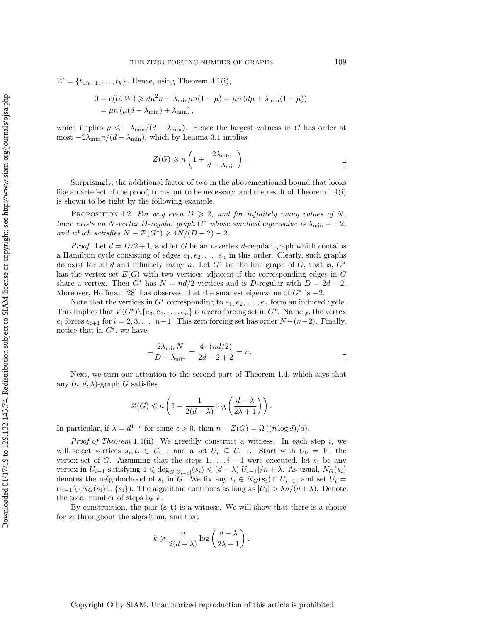$W = \{ t_{\mu n+1}, \ldots, t_k\}.$  Hence, using Theorem [4.1](#page-13-1)[\(i\),](#page-13-2)

$$
0 = e(U, W) \ge d\mu^2 n + \lambda_{\min}\mu n(1 - \mu) = \mu n (d\mu + \lambda_{\min}(1 - \mu))
$$
  
=  $\mu n (\mu(d - \lambda_{\min}) + \lambda_{\min}),$ 

which implies  $\mu \leq - \lambda_{\min}/(d - \lambda_{\min})$ . Hence the largest witness in G has order at most  $-2\lambda_{\min}n/(d - \lambda_{\min})$ , which by Lemma [3.1](#page-8-0) implies

$$
Z(G) \geqslant n \left( 1 + \frac{2\lambda_{\min}}{d - \lambda_{\min}} \right).
$$

Surprisingly, the additional factor of two in the abovementioned bound that looks like an artefact of the proof, turns out to be necessary, and the result of Theorem [1.4](#page-2-3)[\(i\)](#page-2-0) is shown to be tight by the following example.

PROPOSITION 4.2. For any even  $D \geqslant 2$ , and for infinitely many values of N, there exists an N-vertex D-regular graph  $G^*$  whose smallest eigenvalue is  $\lambda_{\min} = -2$ , and which satisfies  $N - Z(G^*) \geqslant 4N/(D + 2) - 2$ .

*Proof.* Let  $d = D/2 + 1$ , and let G be an *n*-vertex d-regular graph which contains a Hamilton cycle consisting of edges  $e_1, e_2, \ldots, e_n$  in this order. Clearly, such graphs do exist for all d and infinitely many n. Let  $G^*$  be the line graph of G, that is,  $G^*$ has the vertex set  $E(G)$  with two vertices adjacent if the corresponding edges in G share a vertex. Then  $G^*$  has  $N = nd/2$  vertices and is D-regular with  $D = 2d - 2$ . Moreover, Hoffman [\[28\]](#page-19-21) has observed that the smallest eigenvalue of  $G^*$  is  $-2$ .

Note that the vertices in  $G^*$  corresponding to  $e_1, e_2, \ldots, e_n$  form an induced cycle. This implies that  $V(G^*)\backslash \{e_3, e_4, \ldots, e_n\}$  is a zero forcing set in  $G^*$ . Namely, the vertex  $e_i$  forces  $e_{i+1}$  for  $i = 2, 3, \ldots, n-1$ . This zero forcing set has order  $N-(n-2)$ . Finally, notice that in  $G^*$ , we have

$$
-\frac{2\lambda_{\min}N}{D-\lambda_{\min}} = \frac{4\cdot(nd/2)}{2d-2+2} = n.
$$

Next, we turn our attention to the second part of Theorem [1.4,](#page-2-3) which says that any  $(n, d, \lambda)$ -graph G satisfies

$$
Z(G) \leqslant n \left(1 - \frac{1}{2(d - \lambda)} \log \left(\frac{d - \lambda}{2\lambda + 1}\right)\right).
$$

In particular, if  $\lambda = d^{1-\epsilon}$  for some  $\epsilon > 0$ , then  $n - Z(G) = \Omega((n \log d)/d)$ .

*Proof of Theorem [1.4](#page-2-3)[\(ii\)](#page-2-1).* We greedily construct a witness. In each step i, we will select vertices  $s_i, t_i \in U_{i-1}$  and a set  $U_i \subseteq U_{i-1}$ . Start with  $U_0 = V$ , the vertex set of G. Assuming that the steps  $1, \ldots, i-1$  were executed, let  $s_i$  be any vertex in  $U_{i-1}$  satisfying  $1 \leq \deg_{G[U_{i-1}]}(s_i) \leq (d - \lambda) |U_{i-1}| / n + \lambda$ . As usual,  $N_G(s_i)$ denotes the neighborhood of  $s_i$  in G. We fix any  $t_i \in N_G(s_i) \cap U_{i-1}$ , and set  $U_i =$  $U_{i-1} \setminus (N_G(s_i) \cup \{ s_i \})$ . The algorithm continues as long as  $|U_i| > \lambda n/(d+\lambda)$ . Denote the total number of steps by  $k$ .

By construction, the pair  $(s, t)$  is a witness. We will show that there is a choice for  $s_i$  throughout the algorithm, and that

$$
k \geqslant \frac{n}{2(d-\lambda)} \log \left( \frac{d-\lambda}{2\lambda+1} \right).
$$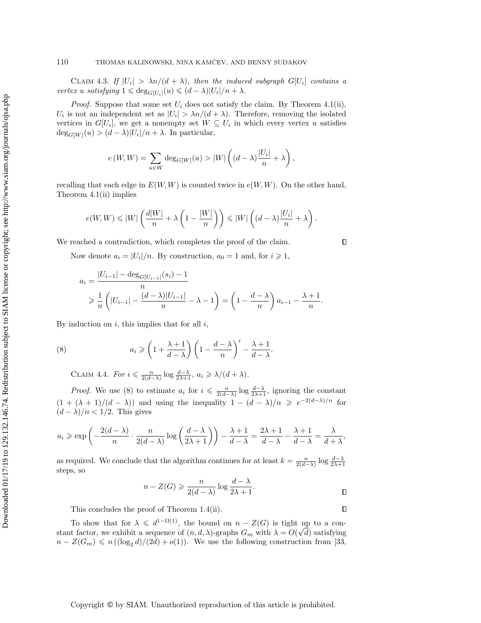CLAIM 4.3. If  $|U_i| > \lambda n/(d + \lambda)$ , then the induced subgraph  $G[U_i]$  contains a vertex u satisfying  $1 \leqslant \deg_{G[U_i]}(u) \leqslant (d - \lambda) |U_i| / n + \lambda$ .

*Proof.* Suppose that some set  $U_i$  does not satisfy the claim. By Theorem [4.1](#page-13-1)[\(ii\),](#page-13-3)  $U_i$  is not an independent set as  $|U_i| > \lambda n/(d + \lambda)$ . Therefore, removing the isolated vertices in  $G[U_i]$ , we get a nonempty set  $W \subseteq U_i$  in which every vertex u satisfies  $\deg_{G[W]}(u) > (d - \lambda)|U_i|/n + \lambda$ . In particular,

$$
e(W,W) = \sum_{u \in W} \deg_{G[W]}(u) > |W| \left( (d - \lambda) \frac{|U_i|}{n} + \lambda \right),
$$

recalling that each edge in  $E(W, W)$  is counted twice in  $e(W, W)$ . On the other hand, Theorem [4.1](#page-13-1)[\(ii\)](#page-13-3) implies

$$
e(W, W) \leq |W| \left( \frac{d|W|}{n} + \lambda \left( 1 - \frac{|W|}{n} \right) \right) \leq |W| \left( (d - \lambda) \frac{|U_i|}{n} + \lambda \right).
$$

We reached a contradiction, which completes the proof of the claim.

Now denote  $a_i = |U_i|/n$ . By construction,  $a_0 = 1$  and, for  $i \geq 1$ ,

$$
a_i = \frac{|U_{i-1}| - \deg_G_{[U_{i-1}]}(s_i) - 1}{n}
$$
  
\n
$$
\geq \frac{1}{n} \left( |U_{i-1}| - \frac{(d-\lambda)|U_{i-1}|}{n} - \lambda - 1 \right) = \left( 1 - \frac{d-\lambda}{n} \right) a_{i-1} - \frac{\lambda + 1}{n}
$$

By induction on  $i$ , this implies that for all  $i$ ,

(8) 
$$
a_i \geqslant \left(1 + \frac{\lambda + 1}{d - \lambda}\right) \left(1 - \frac{d - \lambda}{n}\right)^i - \frac{\lambda + 1}{d - \lambda}.
$$

<span id="page-15-0"></span>CLAIM 4.4. For  $i \leqslant \frac{n}{2(d - \lambda)} \log \frac{d - \lambda}{2\lambda + 1}$ ,  $a_i \geqslant \lambda/(d + \lambda)$ .

*Proof.* We use [\(8\)](#page-15-0) to estimate  $a_i$  for  $i \leq \frac{n}{2(d - \lambda)} \log \frac{d - \lambda}{2\lambda + 1}$ , ignoring the constant  $(1 + (\lambda + 1)/(d - \lambda ))$  and using the inequality  $1 - (d - \lambda )/n \geq e^{-2(d - \lambda )/n}$  for  $(d - \lambda)/n < 1/2$ . This gives

$$
a_i \geqslant \exp\left(-\frac{2(d-\lambda)}{n} \cdot \frac{n}{2(d-\lambda)}\log\left(\frac{d-\lambda}{2\lambda+1}\right)\right) - \frac{\lambda+1}{d-\lambda} = \frac{2\lambda+1}{d-\lambda} - \frac{\lambda+1}{d-\lambda} = \frac{\lambda}{d+\lambda},
$$

as required. We conclude that the algorithm continues for at least  $k = \frac{n}{2(d-\lambda)} \log \frac{d-\lambda}{2\lambda+1}$ steps, so

$$
n - Z(G) \geqslant \frac{n}{2(d - \lambda)} \log \frac{d - \lambda}{2\lambda + 1}.
$$

This concludes the proof of Theorem [1.4](#page-2-3)[\(ii\).](#page-2-1)

To show that for  $\lambda \leq d^{1 - \Omega(1)}$ , the bound on  $n - Z(G)$  is tight up to a constant factor, we exhibit a sequence of  $(n, d, \lambda )$ -graphs  $G_m$  with  $\lambda = O(\sqrt{d})$  satisfying  $n - Z(G_m) \leq n \left( (\log_2 d)/(2d) + o(1) \right)$ . We use the following construction from [\[33,](#page-20-3)

Downloaded 01/17/19 to 129.132.146.74. Redistribution subject to SIAM license or copyright; see http://www.siam.org/journals/ojsa.php Downloaded 01/17/19 to 129.132.146.74. Redistribution subject to SIAM license or copyright; see http://www.siam.org/journals/ojsa.php

 $\Box$ 

 $\Box$ 

.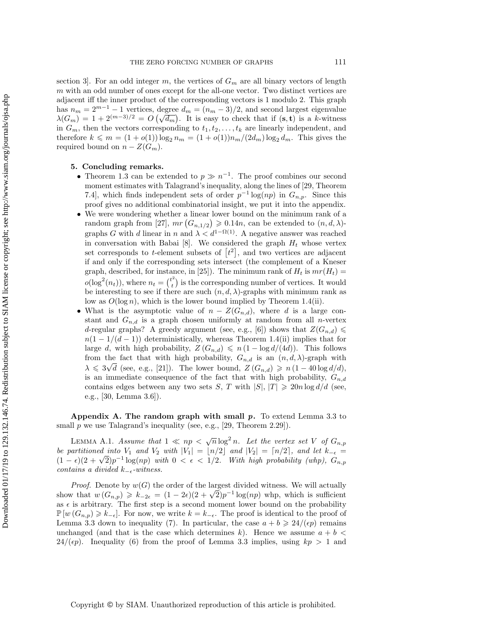section 3. For an odd integer m, the vertices of  $G_m$  are all binary vectors of length m with an odd number of ones except for the all-one vector. Two distinct vertices are adjacent iff the inner product of the corresponding vectors is 1 modulo 2. This graph has  $n_m = 2^{m-1} - 1$  vertices, degree  $d_m = (n_m - 3)/2$ , and second largest eigenvalue has  $n_m = 2^{m-2} - 1$  vertices, degree  $a_m = (n_m - 3)/2$ , and second largest eigenvalue  $\lambda(G_m) = 1 + 2^{(m-3)/2} = O(\sqrt{d_m})$ . It is easy to check that if  $(s, t)$  is a k-witness in  $G_m$ , then the vectors corresponding to  $t_1, t_2, \ldots, t_k$  are linearly independent, and therefore  $k \leq m = (1 + o(1)) \log_2 n_m = (1 + o(1))n_m/(2d_m) \log_2 d_m$ . This gives the required bound on  $n - Z(G_m)$ .

## 5. Concluding remarks.

- Theorem [1.3](#page-2-2) can be extended to  $p \gg n^{-1}$ . The proof combines our second moment estimates with Talagrand's inequality, along the lines of [\[29,](#page-19-24) Theorem 7.4], which finds independent sets of order  $p^{-1} \log(np)$  in  $G_{n,p}$ . Since this proof gives no additional combinatorial insight, we put it into the appendix.
- $\bullet$  We were wondering whether a linear lower bound on the minimum rank of a random graph from [\[27\]](#page-19-20),  $mr \left( G_{n,1/2} \right) \geqslant 0.14n$ , can be extended to  $(n, d, \lambda)$ graphs G with d linear in n and  $\lambda < d^{1 - \Omega (1)}$ . A negative answer was reached in conversation with Babai [\[8\]](#page-19-27). We considered the graph  $H_t$  whose vertex set corresponds to t-element subsets of  $[t^2]$ , and two vertices are adjacent if and only if the corresponding sets intersect (the complement of a Kneser graph, described, for instance, in [\[25\]](#page-19-26)). The minimum rank of  $H_t$  is  $mr(H_t)$  =  $o(\log^2(n_t))$ , where  $n_t = \binom{t^2}{t}$  $\hat{t}_t^{(t)}$  is the corresponding number of vertices. It would be interesting to see if there are such  $(n, d, \lambda)$ -graphs with minimum rank as low as  $O(\log n)$ , which is the lower bound implied by Theorem [1.4\(](#page-2-3)ii).
- What is the asymptotic value of  $n Z(G_{n,d})$ , where d is a large constant and  $G_{n,d}$  is a graph chosen uniformly at random from all *n*-vertex d-regular graphs? A greedy argument (see, e.g., [\[6\]](#page-19-13)) shows that  $Z(G_{n,d}) \leq$  $n(1 - 1/(d - 1))$  deterministically, whereas Theorem [1.4\(](#page-2-3)ii) implies that for large d, with high probability,  $Z(G_{n,d}) \leqslant n (1 - \log d/(4d)).$  This follows from the fact that with high probability,  $G_{n,d}$  is an  $(n, d, \lambda)$ -graph with  $\lambda \leqslant 3\sqrt{d}$  (see, e.g., [\[21\]](#page-19-28)). The lower bound,  $Z(G_{n,d}) \geqslant n \left(1 - 40 \log d/d\right)$ , is an immediate consequence of the fact that with high probability,  $G_{n,d}$ contains edges between any two sets S, T with  $|S|, |T| \geq 20n \log d/d$  (see, e.g., [\[30,](#page-19-29) Lemma 3.6]).

Appendix A. The random graph with small  $p$ . To extend Lemma [3.3](#page-9-0) to small  $p$  we use Talagrand's inequality (see, e.g., [\[29,](#page-19-24) Theorem 2.29]).

LEMMA A.1. Assume that  $1 \ll np < \sqrt{n} \log^2 n$ . Let the vertex set V of  $G_{n,p}$ be partitioned into  $V_1$  and  $V_2$  with  $|V_1| = |n/2|$  and  $|V_2| = \lceil n/2 \rceil$ , and let  $k_{- \epsilon}$ be partitioned into  $V_1$  and  $V_2$  with  $|V_1| = \lfloor n/2 \rfloor$  and  $|V_2| = \lfloor n/2 \rfloor$ , and let  $\kappa_{-\epsilon} = (1 - \epsilon)(2 + \sqrt{2})p^{-1} \log(np)$  with  $0 < \epsilon < 1/2$ . With high probability (whp),  $G_{n,p}$ contains a divided  $k_{-\epsilon}$ -witness.

*Proof.* Denote by  $w(G)$  the order of the largest divided witness. We will actually *Proof.* Denote by  $w(G)$  the order of the largest divided withess. We will actually show that  $w(G_{n,p}) \geq k_{-2\epsilon} = (1 - 2\epsilon)(2 + \sqrt{2})p^{-1} \log(np)$  whp, which is sufficient as  $\epsilon$  is arbitrary. The first step is a second moment lower bound on the probability  $\mathbb{P} [w (G_{n,p}) \geq k_{-\epsilon}].$  For now, we write  $k = k_{-\epsilon}$ . The proof is identical to the proof of Lemma [3.3](#page-9-0) down to inequality [\(7\)](#page-12-0). In particular, the case  $a + b \geqslant 24/(\epsilon p)$  remains unchanged (and that is the case which determines k). Hence we assume  $a + b <$  $24/(\epsilon p)$ . Inequality [\(6\)](#page-11-0) from the proof of Lemma [3.3](#page-9-0) implies, using  $kp > 1$  and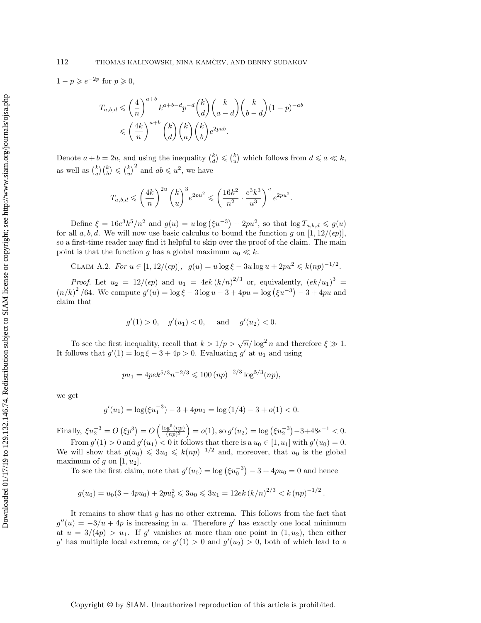$1 - p \geqslant e^{-2p}$  for  $p \geqslant 0$ ,

$$
T_{a,b,d} \leqslant \left(\frac{4}{n}\right)^{a+b} k^{a+b-d} p^{-d} {k \choose d} {k \choose a-d} {k \choose b-d} (1-p)^{-ab}
$$
  

$$
\leqslant \left(\frac{4k}{n}\right)^{a+b} {k \choose d} {k \choose a} {k \choose b} e^{2pab}.
$$

Denote  $a + b = 2u$ , and using the inequality  $\binom{k}{d} \leqslant \binom{k}{u}$  which follows from  $d \leqslant a \ll k$ , as well as  $\binom{k}{a} \binom{k}{b} \leqslant \binom{k}{u}^2$  and  $ab \leqslant u^2$ , we have

$$
T_{a,b,d} \leqslant \left(\frac{4k}{n}\right)^{2u} {k \choose u}^3 e^{2pu^2} \leqslant \left(\frac{16k^2}{n^2} \cdot \frac{e^3 k^3}{u^3}\right)^u e^{2pu^2}.
$$

Define  $\xi = 16e^3k^5/n^2$  and  $g(u) = u \log (\xi u^{-3}) + 2pu^2$ , so that  $\log T_{a,b,d} \leq g(u)$ for all a, b, d. We will now use basic calculus to bound the function g on  $[1, 12/(\epsilon p)]$ , so a first-time reader may find it helpful to skip over the proof of the claim. The main point is that the function g has a global maximum  $u_0 \ll k$ .

CLAIM A.2. For 
$$
u
$$
 ∈ [1, 12/(ε*p*)],  $g$ (*u*) =  $u$  log  $ξ$  − 3*u* log  $u$  + 2 $pu$ <sup>2</sup> ≤  $k(np)$ <sup>-1/2</sup>.

*Proof.* Let  $u_2 = 12/(\epsilon p)$  and  $u_1 = 4ek (k/n)^{2/3}$  or, equivalently,  $(ek/u_1)^3 =$  $(n/k)^2$  /64. We compute  $g'(u) = \log \xi - 3 \log u - 3 + 4pu = \log (\xi u^{-3}) - 3 + 4pu$  and claim that

$$
g'(1) > 0
$$
,  $g'(u_1) < 0$ , and  $g'(u_2) < 0$ .

To see the first inequality, recall that  $k > 1/p > \sqrt{n}/\log^2 n$  and therefore  $\xi \gg 1$ . It follows that  $g'(1) = \log \xi - 3 + 4p > 0$ . Evaluating g' at  $u_1$  and using

$$
pu_1 = 4pe^{5/3}n^{-2/3} \leq 100 (np)^{-2/3} \log^{5/3}(np),
$$

we get

$$
g'(u_1) = \log(\xi u_1^{-3}) - 3 + 4pu_1 = \log(1/4) - 3 + o(1) < 0.
$$

Finally,  $\xi u_2^{-3} = O\left(\xi p^3\right) = O\left(\frac{\log^5(np)}{(np)^2}\right)$  $\frac{\log^5(np)}{(np)^2}$  = o(1), so  $g'(u_2)$  = log  $(\xi u_2^{-3})-3+48\epsilon^{-1} < 0$ .

From  $g'(1) > 0$  and  $g'(u_1) < 0$  it follows that there is a  $u_0 \in [1, u_1]$  with  $g'(u_0) = 0$ . We will show that  $g(u_0) \leqslant 3u_0 \leqslant k(np)^{-1/2}$  and, moreover, that  $u_0$  is the global maximum of g on  $[1, u_2]$ .

To see the first claim, note that  $g'(u_0) = \log \left( \xi u_0^{-3} \right) - 3 + 4pu_0 = 0$  and hence

$$
g(u_0) = u_0(3 - 4pu_0) + 2pu_0^2 \le 3u_0 \le 3u_1 = 12ek (k/n)^{2/3} < k (np)^{-1/2}.
$$

It remains to show that g has no other extrema. This follows from the fact that  $g''(u) = -3/u + 4p$  is increasing in u. Therefore g' has exactly one local minimum at  $u = 3/(4p) > u_1$ . If g' vanishes at more than one point in  $(1, u_2)$ , then either g' has multiple local extrema, or  $g'(1) > 0$  and  $g'(u_2) > 0$ , both of which lead to a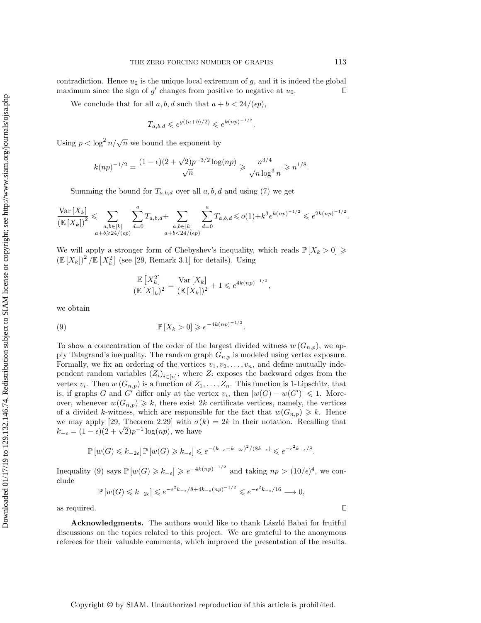contradiction. Hence  $u_0$  is the unique local extremum of  $g$ , and it is indeed the global maximum since the sign of  $g'$  changes from positive to negative at  $u_0$ .  $\Box$ 

We conclude that for all  $a, b, d$  such that  $a + b < 24/(\epsilon p)$ ,

$$
T_{a,b,d} \leqslant e^{g((a+b)/2)} \leqslant e^{k(np)^{-1/2}}.
$$

Using  $p < \log^2 n / \sqrt{n}$  we bound the exponent by

$$
k(np)^{-1/2} = \frac{(1-\epsilon)(2+\sqrt{2})p^{-3/2}\log(np)}{\sqrt{n}} \geqslant \frac{n^{3/4}}{\sqrt{n}\log^3 n} \geqslant n^{1/8}.
$$

Summing the bound for  $T_{a,b,d}$  over all  $a, b, d$  and using [\(7\)](#page-12-0) we get

$$
\frac{\text{Var}\left[X_{k}\right]}{\left(\mathbb{E}\left[X_{k}\right]\right)^{2}} \leqslant \sum_{\substack{a,b \in [k] \\ a+b \geqslant 24/( \epsilon p)}} \sum_{d=0}^{a} T_{a,b,d} + \sum_{\substack{a,b \in [k] \\ a+b < 24/( \epsilon p)}} \sum_{d=0}^{a} T_{a,b,d} \leqslant o(1) + k^{3} e^{k(np)^{-1/2}} \leqslant e^{2k(np)^{-1/2}}
$$

We will apply a stronger form of Chebyshev's inequality, which reads  $\mathbb{P} [X_k > 0] \geq$  $\left(\mathbb E [X_k]\right)^2/\mathbb E \left[ X_k^2 \right]$  (see [\[29,](#page-19-24) Remark 3.1] for details). Using

<span id="page-18-0"></span>
$$
\frac{\mathbb{E}\left[X_k^2\right]}{(\mathbb{E}\left[X_k\right])^2} = \frac{\text{Var}\left[X_k\right]}{(\mathbb{E}\left[X_k\right])^2} + 1 \leqslant e^{4k(np)^{-1/2}},
$$

we obtain

(9) 
$$
\mathbb{P}[X_k > 0] \geq e^{-4k(np)^{-1/2}}.
$$

To show a concentration of the order of the largest divided witness  $w(G_{n,p})$ , we apply Talagrand's inequality. The random graph  $G_{n,p}$  is modeled using vertex exposure. Formally, we fix an ordering of the vertices  $v_1, v_2, \ldots, v_n$ , and define mutually independent random variables  $(Z_i)_{i \in [n]}$ , where  $Z_i$  exposes the backward edges from the vertex  $v_i$ . Then  $w(G_{n,p})$  is a function of  $Z_1, \ldots, Z_n$ . This function is 1-Lipschitz, that is, if graphs G and  $G'$  differ only at the vertex  $v_i$ , then  $|w(G) - w(G')| \leq 1$ . Moreover, whenever  $w(G_{n,p}) \geq k$ , there exist 2k certificate vertices, namely, the vertices of a divided k-witness, which are responsible for the fact that  $w(G_{n,p}) \geq k$ . Hence we may apply [\[29,](#page-19-24) Theorem 2.29] with  $\sigma (k) = 2k$  in their notation. Recalling that we may apply [29, 1 neorem 2.29] with  $\sigma$ <br>  $k_{-\epsilon} = (1 - \epsilon)(2 + \sqrt{2})p^{-1} \log(np)$ , we have

$$
\mathbb{P}\left[w(G)\leqslant k_{-2\epsilon}\right]\mathbb{P}\left[w(G)\geqslant k_{-\epsilon}\right]\leqslant e^{-(k_{-\epsilon}-k_{-2\epsilon})^2/(8k_{-\epsilon})}\leqslant e^{-\epsilon^2k_{-\epsilon}/8}.
$$

Inequality [\(9\)](#page-18-0) says  $\mathbb{P} [w(G) \geq k_{-\epsilon} ] \geqslant e^{-4k(np)^{-1/2}}$  and taking  $np > (10/\epsilon)^4$ , we conclude

$$
\mathbb{P}\left[w(G)\leq k_{-2\epsilon}\right]\leqslant e^{-\epsilon^2k_{-\epsilon}/8+4k_{-\epsilon}(np)^{-1/2}}\leqslant e^{-\epsilon^2k_{-\epsilon}/16}\longrightarrow 0,
$$

as required.

Acknowledgments. The authors would like to thank László Babai for fruitful discussions on the topics related to this project. We are grateful to the anonymous referees for their valuable comments, which improved the presentation of the results.

.

 $\Box$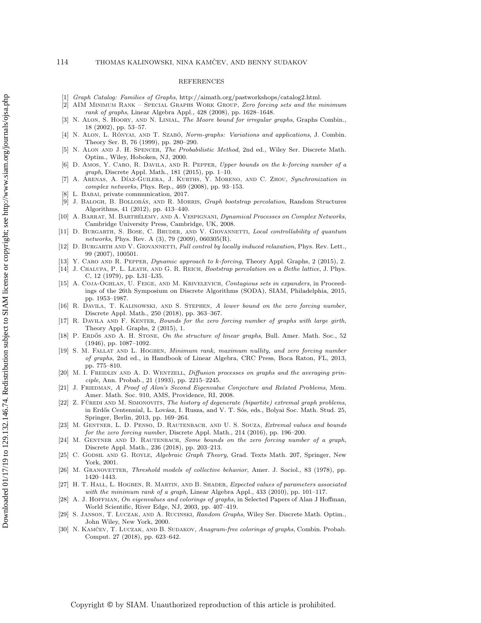## REFERENCES

- <span id="page-19-10"></span>[1] Graph Catalog: Families of Graphs, [http://aimath.org/pastworkshops/catalog2.html.](http://aimath.org/pastworkshops/catalog2.html)
- <span id="page-19-9"></span>[2] AIM MINIMUM RANK -- SPECIAL GRAPHS WORK GROUP, Zero forcing sets and the minimum  $rank\ of\ graphs,$  Linear Algebra Appl., 428 (2008), pp. 1628-1648.
- <span id="page-19-22"></span>[3] N. ALON, S. HOORY, AND N. LINIAL, The Moore bound for irregular graphs, Graphs Combin.,  $18$  (2002), pp. 53–57.
- <span id="page-19-23"></span>[4] N. ALON, L. RÓNYAI, AND T. SZABÓ, Norm-graphs: Variations and applications, J. Combin. Theory Ser. B, 76 (1999), pp. 280-290.
- <span id="page-19-25"></span>[5] N. Alon and J. H. Spencer, The Probabilistic Method, 2nd ed., Wiley Ser. Discrete Math. Optim., Wiley, Hoboken, NJ, 2000.
- <span id="page-19-13"></span>[6] D. Amos, Y. Caro, R. Davila, and R. Pepper, Upper bounds on the k-forcing number of a  $graph$ , Discrete Appl. Math., 181 (2015), pp. 1-10.
- <span id="page-19-4"></span>[7] A. Arenas, A. D\'{\i}az-Guilera, J. Kurths, Y. Moreno, and C. Zhou, Synchronization in complex networks, Phys. Rep., 469 (2008), pp. 93-153.
- <span id="page-19-27"></span>[8] L. BABAI, private communication, 2017.
- <span id="page-19-1"></span>[9] J. BALOGH, B. BOLLOBÁS, AND R. MORRIS, Graph bootstrap percolation, Random Structures Algorithms, 41 (2012), pp. 413--440.
- <span id="page-19-6"></span>[10] A. BARRAT, M. BARTHÉLEMY, AND A. VESPIGNANI, Dynamical Processes on Complex Networks, Cambridge University Press, Cambridge, UK, 2008.
- <span id="page-19-8"></span>[11] D. BURGARTH, S. BOSE, C. BRUDER, AND V. GIOVANNETTI, Local controllability of quantum networks, Phys. Rev. A (3), 79 (2009), 060305(R).
- <span id="page-19-7"></span>[12] D. BURGARTH AND V. GIOVANNETTI, Full control by locally induced relaxation, Phys. Rev. Lett., 99 (2007), 100501.
- <span id="page-19-14"></span>[13] Y. CARO AND R. PEPPER, *Dynamic approach to k-forcing*, Theory Appl. Graphs, 2 (2015), 2.
- <span id="page-19-3"></span>[14] J. Chalupa, P. L. Leath, and G. R. Reich, Bootstrap percolation on a Bethe lattice, J. Phys. C, 12 (1979), pp. L31-L35.
- <span id="page-19-0"></span>[15] A. Coja-Oghlan, U. Feige, and M. Krivelevich, Contagious sets in expanders, in Proceedings of the 26th Symposium on Discrete Algorithms (SODA), SIAM, Philadelphia, 2015, pp. 1953--1987.
- <span id="page-19-16"></span>[16] R. Davila, T. Kalinowski, and S. Stephen, A lower bound on the zero forcing number, Discrete Appl. Math., 250 (2018), pp. 363-367.
- <span id="page-19-17"></span>[17] R. DAVILA AND F. KENTER, Bounds for the zero forcing number of graphs with large girth, Theory Appl. Graphs, 2 (2015), 1.
- <span id="page-19-19"></span>[18] P. ERDŐS AND A. H. STONE, On the structure of linear graphs, Bull. Amer. Math. Soc., 52  $(1946)$ , pp.  $1087-1092$ .
- <span id="page-19-11"></span>[19] S. M. FALLAT AND L. HOGBEN, Minimum rank, maximum nullity, and zero forcing number of graphs, 2nd ed., in Handbook of Linear Algebra, CRC Press, Boca Raton, FL, 2013, pp. 775-810.
- <span id="page-19-2"></span>[20] M. I. FREIDLIN AND A. D. WENTZELL, Diffusion processes on graphs and the averaging principle, Ann. Probab., 21 (1993), pp. 2215-2245.
- <span id="page-19-28"></span>[21] J. FRIEDMAN, A Proof of Alon's Second Eigenvalue Conjecture and Related Problems, Mem. Amer. Math. Soc. 910, AMS, Providence, RI, 2008.
- <span id="page-19-18"></span>[22] Z. FÜREDI AND M. SIMONOVITS, The history of degenerate (bipartite) extremal graph problems, in Erdős Centennial, L. Lovász, I. Rusza, and V. T. Sós, eds., Bolyai Soc. Math. Stud. 25, Springer, Berlin, 2013, pp. 169–264.
- <span id="page-19-12"></span>[23] M. GENTNER, L. D. PENSO, D. RAUTENBACH, AND U. S. SOUZA, Extremal values and bounds for the zero forcing number, Discrete Appl. Math., 214 (2016), pp. 196-200.
- <span id="page-19-15"></span>[24] M. GENTNER AND D. RAUTENBACH, Some bounds on the zero forcing number of a graph, Discrete Appl. Math., 236 (2018), pp. 203-213.
- <span id="page-19-26"></span>[25] C. GODSIL AND G. ROYLE, Algebraic Graph Theory, Grad. Texts Math. 207, Springer, New York, 2001.
- <span id="page-19-5"></span>[26] M. GRANOVETTER, Threshold models of collective behavior, Amer. J. Sociol., 83 (1978), pp. 1420-1443.
- <span id="page-19-20"></span>[27] H. T. HALL, L. HOGBEN, R. MARTIN, AND B. SHADER, Expected values of parameters associated with the minimum rank of a graph, Linear Algebra Appl.,  $433$  (2010), pp. 101-117.
- <span id="page-19-21"></span>[28] A. J. Hoffman, On eigenvalues and colorings of graphs, in Selected Papers of Alan J Hoffman, World Scientific, River Edge, NJ, 2003, pp. 407-419.
- <span id="page-19-24"></span>[29] S. JANSON, T. ŁUCZAK, AND A. RUCINSKI, Random Graphs, Wiley Ser. Discrete Math. Optim., John Wiley, New York, 2000.
- <span id="page-19-29"></span>[30] N. KAMČEV, T. ŁUCZAK, AND B. SUDAKOV, Anagram-free colorings of graphs, Combin. Probab. Comput. 27 (2018), pp. 623-642.